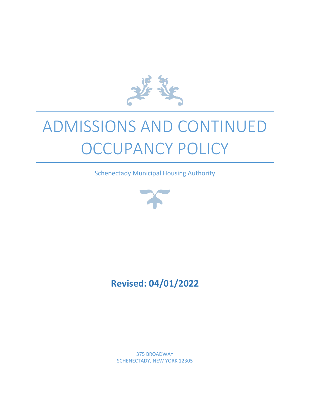

# ADMISSIONS AND CONTINUED OCCUPANCY POLICY

Schenectady Municipal Housing Authority



# **Revised: 04/01/2022**

375 BROADWAY SCHENECTADY, NEW YORK 12305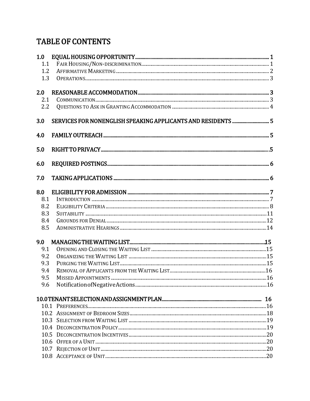# **TABLE OF CONTENTS**

| 1.0 |  |
|-----|--|
| 1.1 |  |
| 1.2 |  |
| 1.3 |  |
| 2.0 |  |
| 2.1 |  |
| 2.2 |  |
| 3.0 |  |
| 4.0 |  |
| 5.0 |  |
| 6.0 |  |
| 7.0 |  |
| 8.0 |  |
| 8.1 |  |
| 8.2 |  |
| 8.3 |  |
| 8.4 |  |
| 8.5 |  |
| 9.0 |  |
| 9.1 |  |
| 9.2 |  |
| 9.3 |  |
| 9.4 |  |
| 9.5 |  |
| 9.6 |  |
|     |  |
|     |  |
|     |  |
|     |  |
|     |  |
|     |  |
|     |  |
|     |  |
|     |  |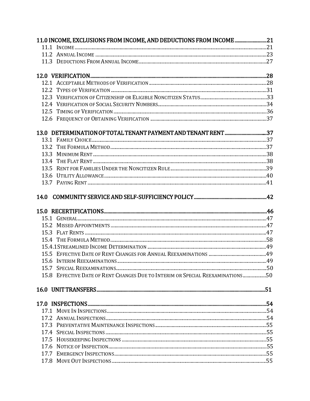|      | 11.0 INCOME, EXCLUSIONS FROM INCOME, AND DEDUCTIONS FROM INCOME 21             |  |
|------|--------------------------------------------------------------------------------|--|
|      |                                                                                |  |
|      |                                                                                |  |
|      |                                                                                |  |
|      |                                                                                |  |
|      |                                                                                |  |
|      |                                                                                |  |
|      |                                                                                |  |
|      |                                                                                |  |
|      |                                                                                |  |
|      |                                                                                |  |
|      | 13.0 DETERMINATION OF TOTAL TENANT PAYMENT AND TENANT RENT 37                  |  |
|      |                                                                                |  |
|      |                                                                                |  |
|      |                                                                                |  |
|      |                                                                                |  |
|      |                                                                                |  |
|      |                                                                                |  |
|      |                                                                                |  |
| 14.0 |                                                                                |  |
|      |                                                                                |  |
|      |                                                                                |  |
|      |                                                                                |  |
|      |                                                                                |  |
|      |                                                                                |  |
|      |                                                                                |  |
|      |                                                                                |  |
|      |                                                                                |  |
|      |                                                                                |  |
|      | 15.8 EFFECTIVE DATE OF RENT CHANGES DUE TO INTERIM OR SPECIAL REEXAMINATIONS50 |  |
|      |                                                                                |  |
|      |                                                                                |  |
|      |                                                                                |  |
|      |                                                                                |  |
|      |                                                                                |  |
|      |                                                                                |  |
|      |                                                                                |  |
|      |                                                                                |  |
|      |                                                                                |  |
|      |                                                                                |  |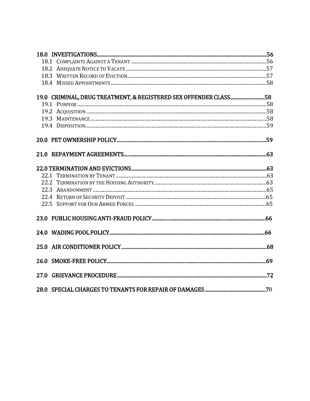| 19.0 CRIMINAL, DRUG TREATMENT, & REGISTERED SEX OFFENDER CLASS58 |    |
|------------------------------------------------------------------|----|
|                                                                  |    |
|                                                                  |    |
|                                                                  |    |
|                                                                  |    |
|                                                                  |    |
|                                                                  |    |
|                                                                  |    |
|                                                                  |    |
|                                                                  |    |
|                                                                  |    |
|                                                                  |    |
|                                                                  |    |
|                                                                  |    |
|                                                                  |    |
|                                                                  |    |
|                                                                  |    |
|                                                                  |    |
| 28.0 SPECIAL CHARGES TO TENANTS FOR REPAIR OF DAMAGES            | 78 |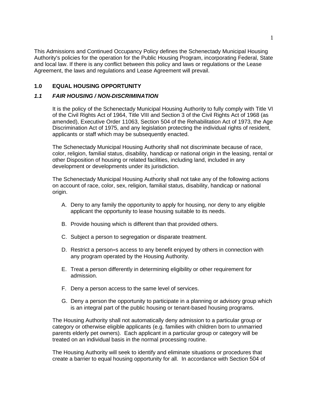This Admissions and Continued Occupancy Policy defines the Schenectady Municipal Housing Authority's policies for the operation for the Public Housing Program, incorporating Federal, State and local law. If there is any conflict between this policy and laws or regulations or the Lease Agreement, the laws and regulations and Lease Agreement will prevail.

# **1.0 EQUAL HOUSING OPPORTUNITY**

### *1.1 FAIR HOUSING / NON-DISCRIMINATION*

It is the policy of the Schenectady Municipal Housing Authority to fully comply with Title VI of the Civil Rights Act of 1964, Title VIII and Section 3 of the Civil Rights Act of 1968 (as amended), Executive Order 11063, Section 504 of the Rehabilitation Act of 1973, the Age Discrimination Act of 1975, and any legislation protecting the individual rights of resident, applicants or staff which may be subsequently enacted.

The Schenectady Municipal Housing Authority shall not discriminate because of race, color, religion, familial status, disability, handicap or national origin in the leasing, rental or other Disposition of housing or related facilities, including land, included in any development or developments under its jurisdiction.

 . The Schenectady Municipal Housing Authority shall not take any of the following actions on account of race, color, sex, religion, familial status, disability, handicap or national origin.

- A. Deny to any family the opportunity to apply for housing, nor deny to any eligible applicant the opportunity to lease housing suitable to its needs.
- B. Provide housing which is different than that provided others.
- C. Subject a person to segregation or disparate treatment.
- D. Restrict a person=s access to any benefit enjoyed by others in connection with any program operated by the Housing Authority.
- E. Treat a person differently in determining eligibility or other requirement for admission.
- F. Deny a person access to the same level of services.
- G. Deny a person the opportunity to participate in a planning or advisory group which is an integral part of the public housing or tenant-based housing programs.

The Housing Authority shall not automatically deny admission to a particular group or category or otherwise eligible applicants (e.g. families with children born to unmarried parents elderly pet owners). Each applicant in a particular group or category will be treated on an individual basis in the normal processing routine.

The Housing Authority will seek to identify and eliminate situations or procedures that create a barrier to equal housing opportunity for all. In accordance with Section 504 of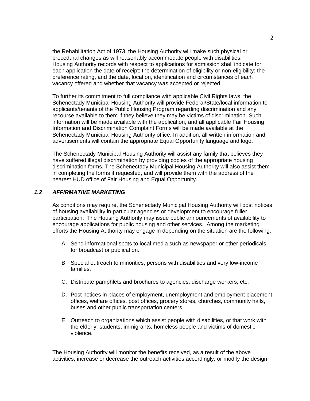the Rehabilitation Act of 1973, the Housing Authority will make such physical or procedural changes as will reasonably accommodate people with disabilities. Housing Authority records with respect to applications for admission shall indicate for each application the date of receipt: the determination of eligibility or non-eligibility: the preference rating, and the date, location, identification and circumstances of each vacancy offered and whether that vacancy was accepted or rejected.

To further its commitment to full compliance with applicable Civil Rights laws, the Schenectady Municipal Housing Authority will provide Federal/State/local information to applicants/tenants of the Public Housing Program regarding discrimination and any recourse available to them if they believe they may be victims of discrimination. Such information will be made available with the application, and all applicable Fair Housing Information and Discrimination Complaint Forms will be made available at the Schenectady Municipal Housing Authority office. In addition, all written information and advertisements will contain the appropriate Equal Opportunity language and logo.

The Schenectady Municipal Housing Authority will assist any family that believes they have suffered illegal discrimination by providing copies of the appropriate housing discrimination forms. The Schenectady Municipal Housing Authority will also assist them in completing the forms if requested, and will provide them with the address of the nearest HUD office of Fair Housing and Equal Opportunity.

#### *1.2 AFFIRMATIVE MARKETING*

As conditions may require, the Schenectady Municipal Housing Authority will post notices of housing availability in particular agencies or development to encourage fuller participation. The Housing Authority may issue public announcements of availability to encourage applications for public housing and other services. Among the marketing efforts the Housing Authority may engage in depending on the situation are the following:

- A. Send informational spots to local media such as newspaper or other periodicals for broadcast or publication.
- B. Special outreach to minorities, persons with disabilities and very low-income families.
- C. Distribute pamphlets and brochures to agencies, discharge workers, etc.
- D. Post notices in places of employment, unemployment and employment placement offices, welfare offices, post offices, grocery stores, churches, community halls, buses and other public transportation centers.
- E. Outreach to organizations which assist people with disabilities, or that work with the elderly, students, immigrants, homeless people and victims of domestic violence.

The Housing Authority will monitor the benefits received, as a result of the above activities, increase or decrease the outreach activities accordingly, or modify the design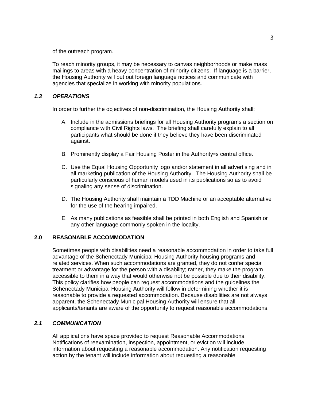of the outreach program.

To reach minority groups, it may be necessary to canvas neighborhoods or make mass mailings to areas with a heavy concentration of minority citizens. If language is a barrier, the Housing Authority will put out foreign language notices and communicate with agencies that specialize in working with minority populations.

#### *1.3 OPERATIONS*

In order to further the objectives of non-discrimination, the Housing Authority shall:

- A. Include in the admissions briefings for all Housing Authority programs a section on compliance with Civil Rights laws. The briefing shall carefully explain to all participants what should be done if they believe they have been discriminated against.
- B. Prominently display a Fair Housing Poster in the Authority=s central office.
- C. Use the Equal Housing Opportunity logo and/or statement in all advertising and in all marketing publication of the Housing Authority. The Housing Authority shall be particularly conscious of human models used in its publications so as to avoid signaling any sense of discrimination.
- D. The Housing Authority shall maintain a TDD Machine or an acceptable alternative for the use of the hearing impaired.
- E. As many publications as feasible shall be printed in both English and Spanish or any other language commonly spoken in the locality.

### **2.0 REASONABLE ACCOMMODATION**

Sometimes people with disabilities need a reasonable accommodation in order to take full advantage of the Schenectady Municipal Housing Authority housing programs and related services. When such accommodations are granted, they do not confer special treatment or advantage for the person with a disability; rather, they make the program accessible to them in a way that would otherwise not be possible due to their disability. This policy clarifies how people can request accommodations and the guidelines the Schenectady Municipal Housing Authority will follow in determining whether it is reasonable to provide a requested accommodation. Because disabilities are not always apparent, the Schenectady Municipal Housing Authority will ensure that all applicants/tenants are aware of the opportunity to request reasonable accommodations.

#### *2.1 COMMUNICATION*

All applications have space provided to request Reasonable Accommodations. Notifications of reexamination, inspection, appointment, or eviction will include information about requesting a reasonable accommodation. Any notification requesting action by the tenant will include information about requesting a reasonable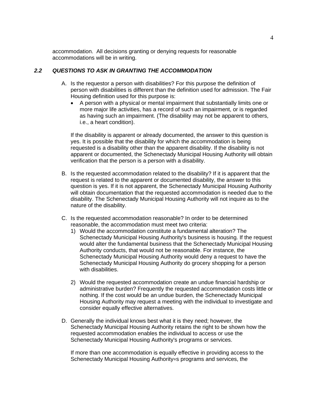accommodation. All decisions granting or denying requests for reasonable accommodations will be in writing.

#### *2.2 QUESTIONS TO ASK IN GRANTING THE ACCOMMODATION*

- A. Is the requestor a person with disabilities? For this purpose the definition of person with disabilities is different than the definition used for admission. The Fair Housing definition used for this purpose is:
	- A person with a physical or mental impairment that substantially limits one or more major life activities, has a record of such an impairment, or is regarded as having such an impairment. (The disability may not be apparent to others, i.e., a heart condition).

If the disability is apparent or already documented, the answer to this question is yes. It is possible that the disability for which the accommodation is being requested is a disability other than the apparent disability. If the disability is not apparent or documented, the Schenectady Municipal Housing Authority will obtain verification that the person is a person with a disability.

- B. Is the requested accommodation related to the disability? If it is apparent that the request is related to the apparent or documented disability, the answer to this question is yes. If it is not apparent, the Schenectady Municipal Housing Authority will obtain documentation that the requested accommodation is needed due to the disability. The Schenectady Municipal Housing Authority will not inquire as to the nature of the disability.
- C. Is the requested accommodation reasonable? In order to be determined reasonable, the accommodation must meet two criteria:
	- 1) Would the accommodation constitute a fundamental alteration? The Schenectady Municipal Housing Authority's business is housing. If the request would alter the fundamental business that the Schenectady Municipal Housing Authority conducts, that would not be reasonable. For instance, the Schenectady Municipal Housing Authority would deny a request to have the Schenectady Municipal Housing Authority do grocery shopping for a person with disabilities.
	- 2) Would the requested accommodation create an undue financial hardship or administrative burden? Frequently the requested accommodation costs little or nothing. If the cost would be an undue burden, the Schenectady Municipal Housing Authority may request a meeting with the individual to investigate and consider equally effective alternatives.
- D. Generally the individual knows best what it is they need; however, the Schenectady Municipal Housing Authority retains the right to be shown how the requested accommodation enables the individual to access or use the Schenectady Municipal Housing Authority's programs or services.

If more than one accommodation is equally effective in providing access to the Schenectady Municipal Housing Authority=s programs and services, the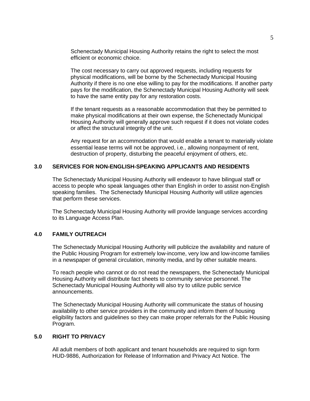Schenectady Municipal Housing Authority retains the right to select the most efficient or economic choice.

The cost necessary to carry out approved requests, including requests for physical modifications, will be borne by the Schenectady Municipal Housing Authority if there is no one else willing to pay for the modifications. If another party pays for the modification, the Schenectady Municipal Housing Authority will seek to have the same entity pay for any restoration costs.

If the tenant requests as a reasonable accommodation that they be permitted to make physical modifications at their own expense, the Schenectady Municipal Housing Authority will generally approve such request if it does not violate codes or affect the structural integrity of the unit.

Any request for an accommodation that would enable a tenant to materially violate essential lease terms will not be approved, i.e., allowing nonpayment of rent, destruction of property, disturbing the peaceful enjoyment of others, etc.

#### **3.0 SERVICES FOR NON-ENGLISH-SPEAKING APPLICANTS AND RESIDENTS**

The Schenectady Municipal Housing Authority will endeavor to have bilingual staff or access to people who speak languages other than English in order to assist non-English speaking families. The Schenectady Municipal Housing Authority will utilize agencies that perform these services.

The Schenectady Municipal Housing Authority will provide language services according to its Language Access Plan.

#### **4.0 FAMILY OUTREACH**

The Schenectady Municipal Housing Authority will publicize the availability and nature of the Public Housing Program for extremely low-income, very low and low-income families in a newspaper of general circulation, minority media, and by other suitable means.

To reach people who cannot or do not read the newspapers, the Schenectady Municipal Housing Authority will distribute fact sheets to community service personnel. The Schenectady Municipal Housing Authority will also try to utilize public service announcements.

The Schenectady Municipal Housing Authority will communicate the status of housing availability to other service providers in the community and inform them of housing eligibility factors and guidelines so they can make proper referrals for the Public Housing Program.

### **5.0 RIGHT TO PRIVACY**

All adult members of both applicant and tenant households are required to sign form HUD-9886, Authorization for Release of Information and Privacy Act Notice. The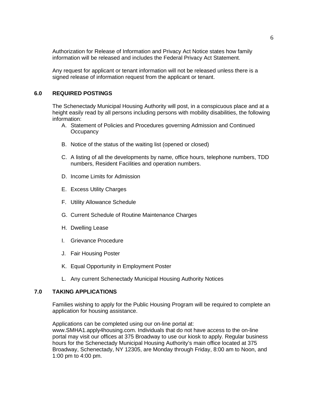Authorization for Release of Information and Privacy Act Notice states how family information will be released and includes the Federal Privacy Act Statement.

Any request for applicant or tenant information will not be released unless there is a signed release of information request from the applicant or tenant.

#### **6.0 REQUIRED POSTINGS**

The Schenectady Municipal Housing Authority will post, in a conspicuous place and at a height easily read by all persons including persons with mobility disabilities, the following information:

- A. Statement of Policies and Procedures governing Admission and Continued **Occupancy**
- B. Notice of the status of the waiting list (opened or closed)
- C. A listing of all the developments by name, office hours, telephone numbers, TDD numbers, Resident Facilities and operation numbers.
- D. Income Limits for Admission
- E. Excess Utility Charges
- F. Utility Allowance Schedule
- G. Current Schedule of Routine Maintenance Charges
- H. Dwelling Lease
- I. Grievance Procedure
- J. Fair Housing Poster
- K. Equal Opportunity in Employment Poster
- L. Any current Schenectady Municipal Housing Authority Notices

#### **7.0 TAKING APPLICATIONS**

Families wishing to apply for the Public Housing Program will be required to complete an application for housing assistance.

Applications can be completed using our on-line portal at: www.SMHA1.apply4housing.com. Individuals that do not have access to the on-line portal may visit our offices at 375 Broadway to use our kiosk to apply. Regular business hours for the Schenectady Municipal Housing Authority's main office located at 375 Broadway, Schenectady, NY 12305, are Monday through Friday, 8:00 am to Noon, and 1:00 pm to 4:00 pm.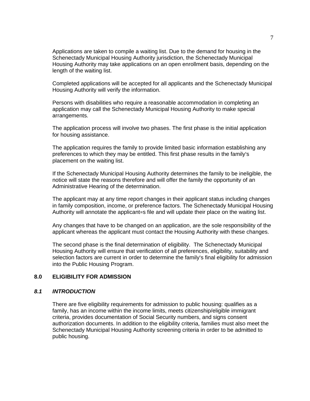Applications are taken to compile a waiting list. Due to the demand for housing in the Schenectady Municipal Housing Authority jurisdiction, the Schenectady Municipal Housing Authority may take applications on an open enrollment basis, depending on the length of the waiting list.

Completed applications will be accepted for all applicants and the Schenectady Municipal Housing Authority will verify the information.

Persons with disabilities who require a reasonable accommodation in completing an application may call the Schenectady Municipal Housing Authority to make special arrangements.

The application process will involve two phases. The first phase is the initial application for housing assistance.

The application requires the family to provide limited basic information establishing any preferences to which they may be entitled. This first phase results in the family's placement on the waiting list.

If the Schenectady Municipal Housing Authority determines the family to be ineligible, the notice will state the reasons therefore and will offer the family the opportunity of an Administrative Hearing of the determination.

The applicant may at any time report changes in their applicant status including changes in family composition, income, or preference factors. The Schenectady Municipal Housing Authority will annotate the applicant=s file and will update their place on the waiting list.

Any changes that have to be changed on an application, are the sole responsibility of the applicant whereas the applicant must contact the Housing Authority with these changes.

The second phase is the final determination of eligibility. The Schenectady Municipal Housing Authority will ensure that verification of all preferences, eligibility, suitability and selection factors are current in order to determine the family's final eligibility for admission into the Public Housing Program.

#### **8.0 ELIGIBILITY FOR ADMISSION**

#### *8.1 INTRODUCTION*

There are five eligibility requirements for admission to public housing: qualifies as a family, has an income within the income limits, meets citizenship/eligible immigrant criteria, provides documentation of Social Security numbers, and signs consent authorization documents. In addition to the eligibility criteria, families must also meet the Schenectady Municipal Housing Authority screening criteria in order to be admitted to public housing.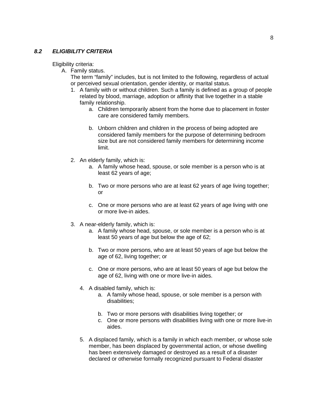#### *8.2 ELIGIBILITY CRITERIA*

Eligibility criteria:

A. Family status.

The term "family" includes, but is not limited to the following, regardless of actual or perceived sexual orientation, gender identity, or marital status.

- 1. A family with or without children. Such a family is defined as a group of people related by blood, marriage, adoption or affinity that live together in a stable family relationship.
	- a. Children temporarily absent from the home due to placement in foster care are considered family members.
	- b. Unborn children and children in the process of being adopted are considered family members for the purpose of determining bedroom size but are not considered family members for determining income limit.
- 2. An elderly family, which is:
	- a. A family whose head, spouse, or sole member is a person who is at least 62 years of age;
	- b. Two or more persons who are at least 62 years of age living together; or
	- c. One or more persons who are at least 62 years of age living with one or more live-in aides.
- 3. A near-elderly family, which is:
	- a. A family whose head, spouse, or sole member is a person who is at least 50 years of age but below the age of 62;
	- b. Two or more persons, who are at least 50 years of age but below the age of 62, living together; or
	- c. One or more persons, who are at least 50 years of age but below the age of 62, living with one or more live-in aides.
	- 4. A disabled family, which is:
		- a. A family whose head, spouse, or sole member is a person with disabilities;
		- b. Two or more persons with disabilities living together; or
		- c. One or more persons with disabilities living with one or more live-in aides.
	- 5. A displaced family, which is a family in which each member, or whose sole member, has been displaced by governmental action, or whose dwelling has been extensively damaged or destroyed as a result of a disaster declared or otherwise formally recognized pursuant to Federal disaster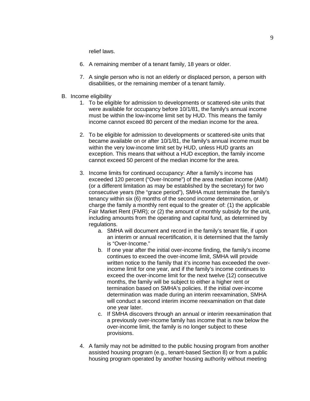relief laws.

- 6. A remaining member of a tenant family, 18 years or older.
- 7. A single person who is not an elderly or displaced person, a person with disabilities, or the remaining member of a tenant family.
- B. Income eligibility
	- 1. To be eligible for admission to developments or scattered-site units that were available for occupancy before 10/1/81, the family's annual income must be within the low-income limit set by HUD. This means the family income cannot exceed 80 percent of the median income for the area.
	- 2. To be eligible for admission to developments or scattered-site units that became available on or after 10/1/81, the family's annual income must be within the very low-income limit set by HUD, unless HUD grants an exception. This means that without a HUD exception, the family income cannot exceed 50 percent of the median income for the area.
	- 3. Income limits for continued occupancy: After a family's income has exceeded 120 percent ("Over-Income") of the area median income (AMI) (or a different limitation as may be established by the secretary) for two consecutive years (the "grace period"), SMHA must terminate the family's tenancy within six (6) months of the second income determination, or charge the family a monthly rent equal to the greater of: (1) the applicable Fair Market Rent (FMR); or (2) the amount of monthly subsidy for the unit, including amounts from the operating and capital fund, as determined by regulations.
		- a. SMHA will document and record in the family's tenant file, if upon an interim or annual recertification, it is determined that the family is "Over-Income."
		- b. If one year after the initial over-income finding, the family's income continues to exceed the over-income limit, SMHA will provide written notice to the family that it's income has exceeded the overincome limit for one year, and if the family's income continues to exceed the over-income limit for the next twelve (12) consecutive months, the family will be subject to either a higher rent or termination based on SMHA's policies. If the initial over-income determination was made during an interim reexamination, SMHA will conduct a second interim income reexamination on that date one year later.
		- c. If SMHA discovers through an annual or interim reexamination that a previously over-income family has income that is now below the over-income limit, the family is no longer subject to these provisions.
	- 4. A family may not be admitted to the public housing program from another assisted housing program (e.g., tenant-based Section 8) or from a public housing program operated by another housing authority without meeting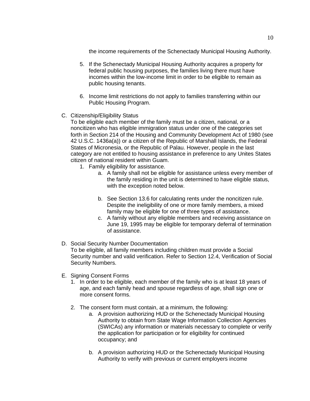the income requirements of the Schenectady Municipal Housing Authority.

- 5. If the Schenectady Municipal Housing Authority acquires a property for federal public housing purposes, the families living there must have incomes within the low-income limit in order to be eligible to remain as public housing tenants.
- 6. Income limit restrictions do not apply to families transferring within our Public Housing Program.
- C. Citizenship/Eligibility Status

To be eligible each member of the family must be a citizen, national, or a noncitizen who has eligible immigration status under one of the categories set forth in Section 214 of the Housing and Community Development Act of 1980 (see 42 U.S.C. 1436a(a)) or a citizen of the Republic of Marshall Islands, the Federal States of Micronesia, or the Republic of Palau. However, people in the last category are not entitled to housing assistance in preference to any Unites States citizen of national resident within Guam.

- 1. Family eligibility for assistance.
	- a. A family shall not be eligible for assistance unless every member of the family residing in the unit is determined to have eligible status, with the exception noted below.
	- b. See Section 13.6 for calculating rents under the noncitizen rule. Despite the ineligibility of one or more family members, a mixed family may be eligible for one of three types of assistance.
	- c. A family without any eligible members and receiving assistance on June 19, 1995 may be eligible for temporary deferral of termination of assistance.
- D. Social Security Number Documentation

To be eligible, all family members including children must provide a Social Security number and valid verification. Refer to Section 12.4, Verification of Social Security Numbers.

- E. Signing Consent Forms
	- 1. In order to be eligible, each member of the family who is at least 18 years of age, and each family head and spouse regardless of age, shall sign one or more consent forms.
	- 2. The consent form must contain, at a minimum, the following:
		- a. A provision authorizing HUD or the Schenectady Municipal Housing Authority to obtain from State Wage Information Collection Agencies (SWICAs) any information or materials necessary to complete or verify the application for participation or for eligibility for continued occupancy; and
		- b. A provision authorizing HUD or the Schenectady Municipal Housing Authority to verify with previous or current employers income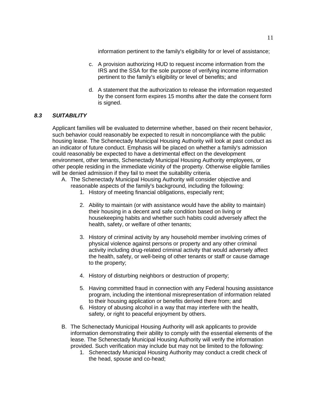information pertinent to the family's eligibility for or level of assistance;

- c. A provision authorizing HUD to request income information from the IRS and the SSA for the sole purpose of verifying income information pertinent to the family's eligibility or level of benefits; and
- d. A statement that the authorization to release the information requested by the consent form expires 15 months after the date the consent form is signed.

# *8.3 SUITABILITY*

Applicant families will be evaluated to determine whether, based on their recent behavior, such behavior could reasonably be expected to result in noncompliance with the public housing lease. The Schenectady Municipal Housing Authority will look at past conduct as an indicator of future conduct. Emphasis will be placed on whether a family's admission could reasonably be expected to have a detrimental effect on the development environment, other tenants, Schenectady Municipal Housing Authority employees, or other people residing in the immediate vicinity of the property. Otherwise eligible families will be denied admission if they fail to meet the suitability criteria.

- A. The Schenectady Municipal Housing Authority will consider objective and reasonable aspects of the family's background, including the following:
	- 1. History of meeting financial obligations, especially rent;
	- 2. Ability to maintain (or with assistance would have the ability to maintain) their housing in a decent and safe condition based on living or housekeeping habits and whether such habits could adversely affect the health, safety, or welfare of other tenants;
	- 3. History of criminal activity by any household member involving crimes of physical violence against persons or property and any other criminal activity including drug-related criminal activity that would adversely affect the health, safety, or well-being of other tenants or staff or cause damage to the property;
	- 4. History of disturbing neighbors or destruction of property;
	- 5. Having committed fraud in connection with any Federal housing assistance program, including the intentional misrepresentation of information related to their housing application or benefits derived there from; and
	- 6. History of abusing alcohol in a way that may interfere with the health, safety, or right to peaceful enjoyment by others.
- B. The Schenectady Municipal Housing Authority will ask applicants to provide information demonstrating their ability to comply with the essential elements of the lease. The Schenectady Municipal Housing Authority will verify the information provided. Such verification may include but may not be limited to the following:
	- 1. Schenectady Municipal Housing Authority may conduct a credit check of the head, spouse and co-head;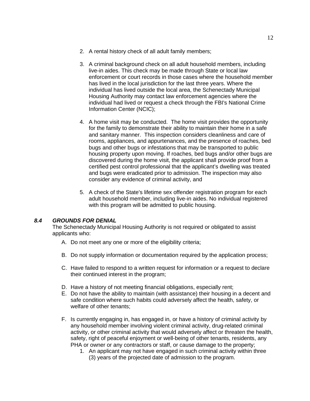- 2. A rental history check of all adult family members;
- 3. A criminal background check on all adult household members, including live-in aides. This check may be made through State or local law enforcement or court records in those cases where the household member has lived in the local jurisdiction for the last three years. Where the individual has lived outside the local area, the Schenectady Municipal Housing Authority may contact law enforcement agencies where the individual had lived or request a check through the FBI's National Crime Information Center (NCIC);
- 4. A home visit may be conducted. The home visit provides the opportunity for the family to demonstrate their ability to maintain their home in a safe and sanitary manner. This inspection considers cleanliness and care of rooms, appliances, and appurtenances, and the presence of roaches, bed bugs and other bugs or infestations that may be transported to public housing property upon moving. If roaches, bed bugs and/or other bugs are discovered during the home visit, the applicant shall provide proof from a certified pest control professional that the applicant's dwelling was treated and bugs were eradicated prior to admission. The inspection may also consider any evidence of criminal activity, and
- 5. A check of the State's lifetime sex offender registration program for each adult household member, including live-in aides. No individual registered with this program will be admitted to public housing.

#### *8.4 GROUNDS FOR DENIAL*

The Schenectady Municipal Housing Authority is not required or obligated to assist applicants who:

- A. Do not meet any one or more of the eligibility criteria;
- B. Do not supply information or documentation required by the application process;
- C. Have failed to respond to a written request for information or a request to declare their continued interest in the program;
- D. Have a history of not meeting financial obligations, especially rent;
- E. Do not have the ability to maintain (with assistance) their housing in a decent and safe condition where such habits could adversely affect the health, safety, or welfare of other tenants;
- F. Is currently engaging in, has engaged in, or have a history of criminal activity by any household member involving violent criminal activity, drug-related criminal activity, or other criminal activity that would adversely affect or threaten the health, safety, right of peaceful enjoyment or well-being of other tenants, residents, any PHA or owner or any contractors or staff, or cause damage to the property;
	- 1. An applicant may not have engaged in such criminal activity within three (3) years of the projected date of admission to the program.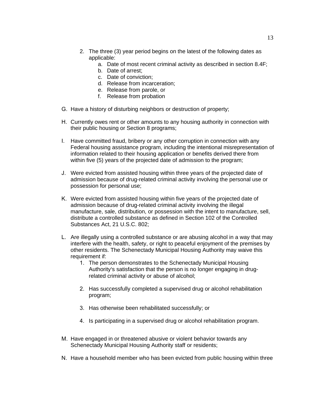- 2. The three (3) year period begins on the latest of the following dates as applicable:
	- a. Date of most recent criminal activity as described in section 8.4F;
	- b. Date of arrest;
	- c. Date of conviction;
	- d. Release from incarceration;
	- e. Release from parole, or
	- f. Release from probation
- G. Have a history of disturbing neighbors or destruction of property;
- H. Currently owes rent or other amounts to any housing authority in connection with their public housing or Section 8 programs;
- I. Have committed fraud, bribery or any other corruption in connection with any Federal housing assistance program, including the intentional misrepresentation of information related to their housing application or benefits derived there from within five (5) years of the projected date of admission to the program;
- J. Were evicted from assisted housing within three years of the projected date of admission because of drug-related criminal activity involving the personal use or possession for personal use;
- K. Were evicted from assisted housing within five years of the projected date of admission because of drug-related criminal activity involving the illegal manufacture, sale, distribution, or possession with the intent to manufacture, sell, distribute a controlled substance as defined in Section 102 of the Controlled Substances Act, 21 U.S.C. 802;
- L. Are illegally using a controlled substance or are abusing alcohol in a way that may interfere with the health, safety, or right to peaceful enjoyment of the premises by other residents. The Schenectady Municipal Housing Authority may waive this requirement if:
	- 1. The person demonstrates to the Schenectady Municipal Housing Authority's satisfaction that the person is no longer engaging in drugrelated criminal activity or abuse of alcohol;
	- 2. Has successfully completed a supervised drug or alcohol rehabilitation program;
	- 3. Has otherwise been rehabilitated successfully; or
	- 4. Is participating in a supervised drug or alcohol rehabilitation program.
- M. Have engaged in or threatened abusive or violent behavior towards any Schenectady Municipal Housing Authority staff or residents;
- N. Have a household member who has been evicted from public housing within three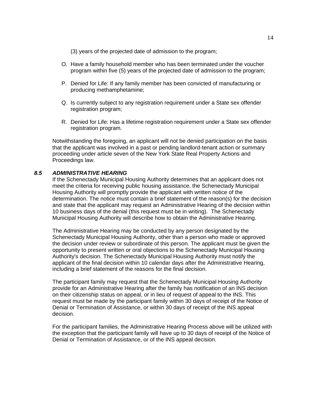(3) years of the projected date of admission to the program;

- O. Have a family household member who has been terminated under the voucher program within five (5) years of the projected date of admission to the program;
- P. Denied for Life: If any family member has been convicted of manufacturing or producing methamphetamine;
- Q. Is currently subject to any registration requirement under a State sex offender registration program;
- R. Denied for Life: Has a lifetime registration requirement under a State sex offender registration program.

Notwithstanding the foregoing, an applicant will not be denied participation on the basis that the applicant was involved in a past or pending landlord-tenant action or summary proceeding under article seven of the New York State Real Property Actions and Proceedings law.

### *8.5 ADMINISTRATIVE HEARING*

If the Schenectady Municipal Housing Authority determines that an applicant does not meet the criteria for receiving public housing assistance, the Schenectady Municipal Housing Authority will promptly provide the applicant with written notice of the determination. The notice must contain a brief statement of the reason(s) for the decision and state that the applicant may request an Administrative Hearing of the decision within 10 business days of the denial (this request must be in writing). The Schenectady Municipal Housing Authority will describe how to obtain the Administrative Hearing.

The Administrative Hearing may be conducted by any person designated by the Schenectady Municipal Housing Authority, other than a person who made or approved the decision under review or subordinate of this person. The applicant must be given the opportunity to present written or oral objections to the Schenectady Municipal Housing Authority's decision. The Schenectady Municipal Housing Authority must notify the applicant of the final decision within 10 calendar days after the Administrative Hearing, including a brief statement of the reasons for the final decision.

The participant family may request that the Schenectady Municipal Housing Authority provide for an Administrative Hearing after the family has notification of an INS decision on their citizenship status on appeal, or in lieu of request of appeal to the INS. This request must be made by the participant family within 30 days of receipt of the Notice of Denial or Termination of Assistance, or within 30 days of receipt of the INS appeal decision.

For the participant families, the Administrative Hearing Process above will be utilized with the exception that the participant family will have up to 30 days of receipt of the Notice of Denial or Termination of Assistance, or of the INS appeal decision.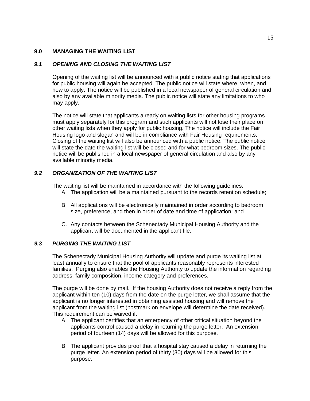### **9.0 MANAGING THE WAITING LIST**

### *9.1 OPENING AND CLOSING THE WAITING LIST*

Opening of the waiting list will be announced with a public notice stating that applications for public housing will again be accepted. The public notice will state where, when, and how to apply. The notice will be published in a local newspaper of general circulation and also by any available minority media. The public notice will state any limitations to who may apply.

The notice will state that applicants already on waiting lists for other housing programs must apply separately for this program and such applicants will not lose their place on other waiting lists when they apply for public housing. The notice will include the Fair Housing logo and slogan and will be in compliance with Fair Housing requirements. Closing of the waiting list will also be announced with a public notice. The public notice will state the date the waiting list will be closed and for what bedroom sizes. The public notice will be published in a local newspaper of general circulation and also by any available minority media.

# *9.2 ORGANIZATION OF THE WAITING LIST*

The waiting list will be maintained in accordance with the following guidelines:

- A. The application will be a maintained pursuant to the records retention schedule;
- B. All applications will be electronically maintained in order according to bedroom size, preference, and then in order of date and time of application; and
- C. Any contacts between the Schenectady Municipal Housing Authority and the applicant will be documented in the applicant file.

### *9.3 PURGING THE WAITING LIST*

The Schenectady Municipal Housing Authority will update and purge its waiting list at least annually to ensure that the pool of applicants reasonably represents interested families. Purging also enables the Housing Authority to update the information regarding address, family composition, income category and preferences.

The purge will be done by mail. If the housing Authority does not receive a reply from the applicant within ten (10) days from the date on the purge letter, we shall assume that the applicant is no longer interested in obtaining assisted housing and will remove the applicant from the waiting list (postmark on envelope will determine the date received). This requirement can be waived if:

- A. The applicant certifies that an emergency of other critical situation beyond the applicants control caused a delay in returning the purge letter. An extension period of fourteen (14) days will be allowed for this purpose.
- B. The applicant provides proof that a hospital stay caused a delay in returning the purge letter. An extension period of thirty (30) days will be allowed for this purpose.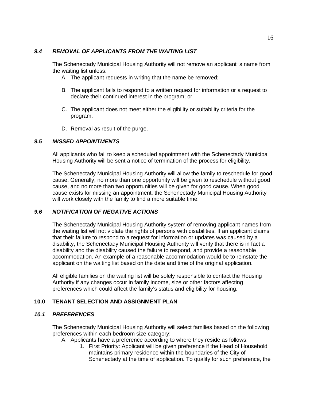#### *9.4 REMOVAL OF APPLICANTS FROM THE WAITING LIST*

The Schenectady Municipal Housing Authority will not remove an applicant=s name from the waiting list unless:

- A. The applicant requests in writing that the name be removed;
- B. The applicant fails to respond to a written request for information or a request to declare their continued interest in the program; or
- C. The applicant does not meet either the eligibility or suitability criteria for the program.
- D. Removal as result of the purge.

# *9.5 MISSED APPOINTMENTS*

All applicants who fail to keep a scheduled appointment with the Schenectady Municipal Housing Authority will be sent a notice of termination of the process for eligibility.

The Schenectady Municipal Housing Authority will allow the family to reschedule for good cause. Generally, no more than one opportunity will be given to reschedule without good cause, and no more than two opportunities will be given for good cause. When good cause exists for missing an appointment, the Schenectady Municipal Housing Authority will work closely with the family to find a more suitable time.

#### *9.6 NOTIFICATION OF NEGATIVE ACTIONS*

The Schenectady Municipal Housing Authority system of removing applicant names from the waiting list will not violate the rights of persons with disabilities. If an applicant claims that their failure to respond to a request for information or updates was caused by a disability, the Schenectady Municipal Housing Authority will verify that there is in fact a disability and the disability caused the failure to respond, and provide a reasonable accommodation. An example of a reasonable accommodation would be to reinstate the applicant on the waiting list based on the date and time of the original application.

All eligible families on the waiting list will be solely responsible to contact the Housing Authority if any changes occur in family income, size or other factors affecting preferences which could affect the family's status and eligibility for housing.

#### **10.0 TENANT SELECTION AND ASSIGNMENT PLAN**

#### *10.1 PREFERENCES*

The Schenectady Municipal Housing Authority will select families based on the following preferences within each bedroom size category:

A. Applicants have a preference according to where they reside as follows:

1. First Priority: Applicant will be given preference if the Head of Household maintains primary residence within the boundaries of the City of Schenectady at the time of application. To qualify for such preference, the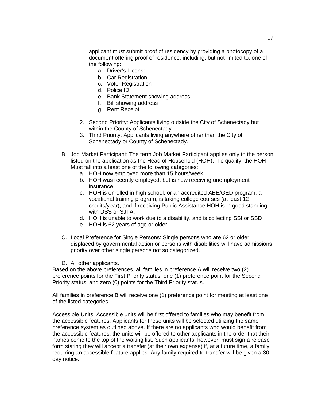applicant must submit proof of residency by providing a photocopy of a document offering proof of residence, including, but not limited to, one of the following:

- a. Driver's License
- b. Car Registration
- c. Voter Registration
- d. Police ID
- e. Bank Statement showing address
- f. Bill showing address
- g. Rent Receipt
- 2. Second Priority: Applicants living outside the City of Schenectady but within the County of Schenectady
- 3. Third Priority: Applicants living anywhere other than the City of Schenectady or County of Schenectady.
- B. Job Market Participant: The term Job Market Participant applies only to the person listed on the application as the Head of Household (HOH). To qualify, the HOH Must fall into a least one of the following categories:
	- a. HOH now employed more than 15 hours/week
	- b. HOH was recently employed, but is now receiving unemployment insurance
	- c. HOH is enrolled in high school, or an accredited ABE/GED program, a vocational training program, is taking college courses (at least 12 credits/year), and if receiving Public Assistance HOH is in good standing with DSS or SJTA.
	- d. HOH is unable to work due to a disability, and is collecting SSI or SSD
	- e. HOH is 62 years of age or older
- C. Local Preference for Single Persons: Single persons who are 62 or older, displaced by governmental action or persons with disabilities will have admissions priority over other single persons not so categorized.
- D. All other applicants.

Based on the above preferences, all families in preference A will receive two (2) preference points for the First Priority status, one (1) preference point for the Second Priority status, and zero (0) points for the Third Priority status.

All families in preference B will receive one (1) preference point for meeting at least one of the listed categories.

Accessible Units: Accessible units will be first offered to families who may benefit from the accessible features. Applicants for these units will be selected utilizing the same preference system as outlined above. If there are no applicants who would benefit from the accessible features, the units will be offered to other applicants in the order that their names come to the top of the waiting list. Such applicants, however, must sign a release form stating they will accept a transfer (at their own expense) if, at a future time, a family requiring an accessible feature applies. Any family required to transfer will be given a 30 day notice.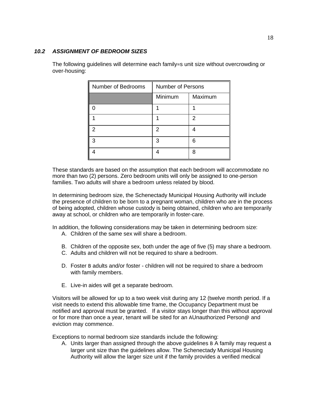#### *10.2 ASSIGNMENT OF BEDROOM SIZES*

| Number of Bedrooms | <b>Number of Persons</b> |         |
|--------------------|--------------------------|---------|
|                    | Minimum                  | Maximum |
|                    |                          |         |
|                    |                          | 2       |
|                    | 2                        |         |
|                    | ว                        | հ       |
|                    |                          | я       |

The following guidelines will determine each family=s unit size without overcrowding or over-housing:

These standards are based on the assumption that each bedroom will accommodate no more than two (2) persons. Zero bedroom units will only be assigned to one-person families. Two adults will share a bedroom unless related by blood.

In determining bedroom size, the Schenectady Municipal Housing Authority will include the presence of children to be born to a pregnant woman, children who are in the process of being adopted, children whose custody is being obtained, children who are temporarily away at school, or children who are temporarily in foster-care.

In addition, the following considerations may be taken in determining bedroom size:

- A. Children of the same sex will share a bedroom.
- B. Children of the opposite sex, both under the age of five (5) may share a bedroom.
- C. Adults and children will not be required to share a bedroom.
- D. Foster B adults and/or foster children will not be required to share a bedroom with family members.
- E. Live-in aides will get a separate bedroom.

Visitors will be allowed for up to a two week visit during any 12 (twelve month period. If a visit needs to extend this allowable time frame, the Occupancy Department must be notified and approval must be granted. If a visitor stays longer than this without approval or for more than once a year, tenant will be sited for an AUnauthorized Person@ and eviction may commence.

Exceptions to normal bedroom size standards include the following:

A. Units larger than assigned through the above guidelines B A family may request a larger unit size than the guidelines allow. The Schenectady Municipal Housing Authority will allow the larger size unit if the family provides a verified medical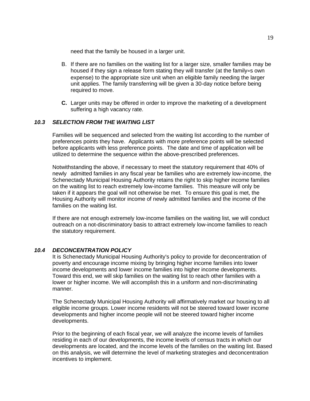need that the family be housed in a larger unit.

- B. If there are no families on the waiting list for a larger size, smaller families may be housed if they sign a release form stating they will transfer (at the family=s own expense) to the appropriate size unit when an eligible family needing the larger unit applies. The family transferring will be given a 30-day notice before being required to move.
- **C.** Larger units may be offered in order to improve the marketing of a development suffering a high vacancy rate.

#### *10.3 SELECTION FROM THE WAITING LIST*

Families will be sequenced and selected from the waiting list according to the number of preferences points they have. Applicants with more preference points will be selected before applicants with less preference points. The date and time of application will be utilized to determine the sequence within the above-prescribed preferences.

Notwithstanding the above, if necessary to meet the statutory requirement that 40% of newly admitted families in any fiscal year be families who are extremely low-income, the Schenectady Municipal Housing Authority retains the right to skip higher income families on the waiting list to reach extremely low-income families. This measure will only be taken if it appears the goal will not otherwise be met. To ensure this goal is met, the Housing Authority will monitor income of newly admitted families and the income of the families on the waiting list.

If there are not enough extremely low-income families on the waiting list, we will conduct outreach on a not-discriminatory basis to attract extremely low-income families to reach the statutory requirement.

#### *10.4 DECONCENTRATION POLICY*

It is Schenectady Municipal Housing Authority's policy to provide for deconcentration of poverty and encourage income mixing by bringing higher income families into lower income developments and lower income families into higher income developments. Toward this end, we will skip families on the waiting list to reach other families with a lower or higher income. We will accomplish this in a uniform and non-discriminating manner.

The Schenectady Municipal Housing Authority will affirmatively market our housing to all eligible income groups. Lower income residents will not be steered toward lower income developments and higher income people will not be steered toward higher income developments.

Prior to the beginning of each fiscal year, we will analyze the income levels of families residing in each of our developments, the income levels of census tracts in which our developments are located, and the income levels of the families on the waiting list. Based on this analysis, we will determine the level of marketing strategies and deconcentration incentives to implement.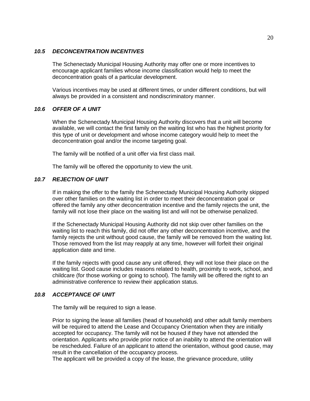#### *10.5 DECONCENTRATION INCENTIVES*

The Schenectady Municipal Housing Authority may offer one or more incentives to encourage applicant families whose income classification would help to meet the deconcentration goals of a particular development.

Various incentives may be used at different times, or under different conditions, but will always be provided in a consistent and nondiscriminatory manner.

#### *10.6 OFFER OF A UNIT*

When the Schenectady Municipal Housing Authority discovers that a unit will become available, we will contact the first family on the waiting list who has the highest priority for this type of unit or development and whose income category would help to meet the deconcentration goal and/or the income targeting goal.

The family will be notified of a unit offer via first class mail.

The family will be offered the opportunity to view the unit.

#### *10.7 REJECTION OF UNIT*

If in making the offer to the family the Schenectady Municipal Housing Authority skipped over other families on the waiting list in order to meet their deconcentration goal or offered the family any other deconcentration incentive and the family rejects the unit, the family will not lose their place on the waiting list and will not be otherwise penalized.

If the Schenectady Municipal Housing Authority did not skip over other families on the waiting list to reach this family, did not offer any other deconcentration incentive, and the family rejects the unit without good cause, the family will be removed from the waiting list. Those removed from the list may reapply at any time, however will forfeit their original application date and time.

If the family rejects with good cause any unit offered, they will not lose their place on the waiting list. Good cause includes reasons related to health, proximity to work, school, and childcare (for those working or going to school). The family will be offered the right to an administrative conference to review their application status.

#### *10.8 ACCEPTANCE OF UNIT*

The family will be required to sign a lease.

Prior to signing the lease all families (head of household) and other adult family members will be required to attend the Lease and Occupancy Orientation when they are initially accepted for occupancy. The family will not be housed if they have not attended the orientation. Applicants who provide prior notice of an inability to attend the orientation will be rescheduled. Failure of an applicant to attend the orientation, without good cause, may result in the cancellation of the occupancy process.

The applicant will be provided a copy of the lease, the grievance procedure, utility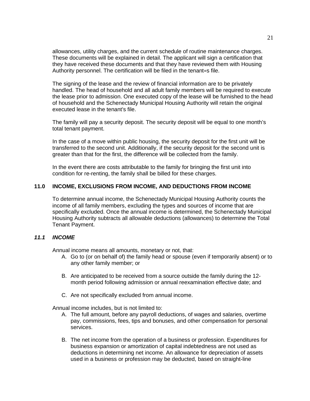allowances, utility charges, and the current schedule of routine maintenance charges. These documents will be explained in detail. The applicant will sign a certification that they have received these documents and that they have reviewed them with Housing Authority personnel. The certification will be filed in the tenant=s file.

The signing of the lease and the review of financial information are to be privately handled. The head of household and all adult family members will be required to execute the lease prior to admission. One executed copy of the lease will be furnished to the head of household and the Schenectady Municipal Housing Authority will retain the original executed lease in the tenant's file.

The family will pay a security deposit. The security deposit will be equal to one month's total tenant payment.

In the case of a move within public housing, the security deposit for the first unit will be transferred to the second unit. Additionally, if the security deposit for the second unit is greater than that for the first, the difference will be collected from the family.

In the event there are costs attributable to the family for bringing the first unit into condition for re-renting, the family shall be billed for these charges.

#### **11.0 INCOME, EXCLUSIONS FROM INCOME, AND DEDUCTIONS FROM INCOME**

To determine annual income, the Schenectady Municipal Housing Authority counts the income of all family members, excluding the types and sources of income that are specifically excluded. Once the annual income is determined, the Schenectady Municipal Housing Authority subtracts all allowable deductions (allowances) to determine the Total Tenant Payment.

#### *11.1 INCOME*

Annual income means all amounts, monetary or not, that:

- A. Go to (or on behalf of) the family head or spouse (even if temporarily absent) or to any other family member; or
- B. Are anticipated to be received from a source outside the family during the 12 month period following admission or annual reexamination effective date; and
- C. Are not specifically excluded from annual income.

Annual income includes, but is not limited to:

- A. The full amount, before any payroll deductions, of wages and salaries, overtime pay, commissions, fees, tips and bonuses, and other compensation for personal services.
- B. The net income from the operation of a business or profession. Expenditures for business expansion or amortization of capital indebtedness are not used as deductions in determining net income. An allowance for depreciation of assets used in a business or profession may be deducted, based on straight-line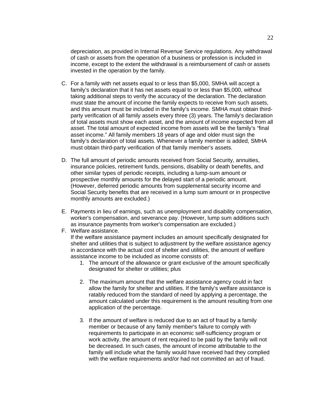depreciation, as provided in Internal Revenue Service regulations. Any withdrawal of cash or assets from the operation of a business or profession is included in income, except to the extent the withdrawal is a reimbursement of cash or assets invested in the operation by the family.

- C. For a family with net assets equal to or less than \$5,000, SMHA will accept a family's declaration that it has net assets equal to or less than \$5,000, without taking additional steps to verify the accuracy of the declaration. The declaration must state the amount of income the family expects to receive from such assets, and this amount must be included in the family's income. SMHA must obtain thirdparty verification of all family assets every three (3) years. The family's declaration of total assets must show each asset, and the amount of income expected from all asset. The total amount of expected income from assets will be the family's "final asset income." All family members 18 years of age and older must sign the family's declaration of total assets. Whenever a family member is added, SMHA must obtain third-party verification of that family member's assets.
- D. The full amount of periodic amounts received from Social Security, annuities, insurance policies, retirement funds, pensions, disability or death benefits, and other similar types of periodic receipts, including a lump-sum amount or prospective monthly amounts for the delayed start of a periodic amount. (However, deferred periodic amounts from supplemental security income and Social Security benefits that are received in a lump sum amount or in prospective monthly amounts are excluded.)
- E. Payments in lieu of earnings, such as unemployment and disability compensation, worker's compensation, and severance pay. (However, lump sum additions such as insurance payments from worker's compensation are excluded.)
- F. Welfare assistance. If the welfare assistance payment includes an amount specifically designated for shelter and utilities that is subject to adjustment by the welfare assistance agency in accordance with the actual cost of shelter and utilities, the amount of welfare assistance income to be included as income consists of:
	- 1. The amount of the allowance or grant exclusive of the amount specifically designated for shelter or utilities; plus
	- 2. The maximum amount that the welfare assistance agency could in fact allow the family for shelter and utilities. If the family's welfare assistance is ratably reduced from the standard of need by applying a percentage, the amount calculated under this requirement is the amount resulting from one application of the percentage.
	- 3. If the amount of welfare is reduced due to an act of fraud by a family member or because of any family member's failure to comply with requirements to participate in an economic self-sufficiency program or work activity, the amount of rent required to be paid by the family will not be decreased. In such cases, the amount of income attributable to the family will include what the family would have received had they complied with the welfare requirements and/or had not committed an act of fraud.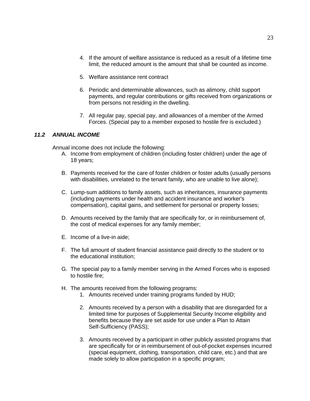- 4. If the amount of welfare assistance is reduced as a result of a lifetime time limit, the reduced amount is the amount that shall be counted as income.
- 5. Welfare assistance rent contract
- 6. Periodic and determinable allowances, such as alimony, child support payments, and regular contributions or gifts received from organizations or from persons not residing in the dwelling.
- 7. All regular pay, special pay, and allowances of a member of the Armed Forces. (Special pay to a member exposed to hostile fire is excluded.)

#### *11.2 ANNUAL INCOME*

Annual income does not include the following:

- A. Income from employment of children (including foster children) under the age of 18 years;
- B. Payments received for the care of foster children or foster adults (usually persons with disabilities, unrelated to the tenant family, who are unable to live alone);
- C. Lump-sum additions to family assets, such as inheritances, insurance payments (including payments under health and accident insurance and worker's compensation), capital gains, and settlement for personal or property losses;
- D. Amounts received by the family that are specifically for, or in reimbursement of, the cost of medical expenses for any family member;
- E. Income of a live-in aide;
- F. The full amount of student financial assistance paid directly to the student or to the educational institution;
- G. The special pay to a family member serving in the Armed Forces who is exposed to hostile fire;
- H. The amounts received from the following programs:
	- 1. Amounts received under training programs funded by HUD;
	- 2. Amounts received by a person with a disability that are disregarded for a limited time for purposes of Supplemental Security Income eligibility and benefits because they are set aside for use under a Plan to Attain Self-Sufficiency (PASS);
	- 3. Amounts received by a participant in other publicly assisted programs that are specifically for or in reimbursement of out-of-pocket expenses incurred (special equipment, clothing, transportation, child care, etc.) and that are made solely to allow participation in a specific program;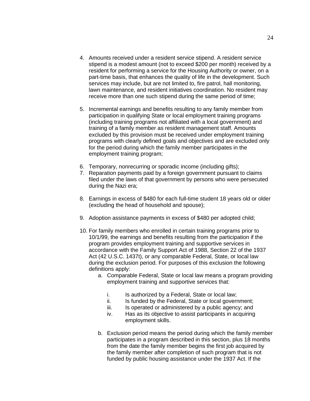- 4. Amounts received under a resident service stipend. A resident service stipend is a modest amount (not to exceed \$200 per month) received by a resident for performing a service for the Housing Authority or owner, on a part-time basis, that enhances the quality of life in the development. Such services may include, but are not limited to, fire patrol, hall monitoring, lawn maintenance, and resident initiatives coordination. No resident may receive more than one such stipend during the same period of time;
- 5. Incremental earnings and benefits resulting to any family member from participation in qualifying State or local employment training programs (including training programs not affiliated with a local government) and training of a family member as resident management staff. Amounts excluded by this provision must be received under employment training programs with clearly defined goals and objectives and are excluded only for the period during which the family member participates in the employment training program;
- 6. Temporary, nonrecurring or sporadic income (including gifts);
- 7. Reparation payments paid by a foreign government pursuant to claims filed under the laws of that government by persons who were persecuted during the Nazi era;
- 8. Earnings in excess of \$480 for each full-time student 18 years old or older (excluding the head of household and spouse);
- 9. Adoption assistance payments in excess of \$480 per adopted child;
- 10. For family members who enrolled in certain training programs prior to 10/1/99, the earnings and benefits resulting from the participation if the program provides employment training and supportive services in accordance with the Family Support Act of 1988, Section 22 of the 1937 Act (42 U.S.C. 1437t), or any comparable Federal, State, or local law during the exclusion period. For purposes of this exclusion the following definitions apply:
	- a. Comparable Federal, State or local law means a program providing employment training and supportive services that:
		- i. Is authorized by a Federal, State or local law;
		- ii. Is funded by the Federal, State or local government;
		- iii. Is operated or administered by a public agency; and
		- iv. Has as its objective to assist participants in acquiring employment skills.
	- b. Exclusion period means the period during which the family member participates in a program described in this section, plus 18 months from the date the family member begins the first job acquired by the family member after completion of such program that is not funded by public housing assistance under the 1937 Act. If the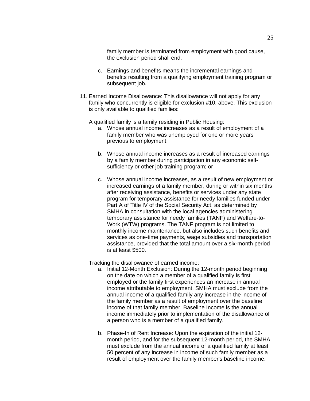family member is terminated from employment with good cause, the exclusion period shall end.

- c. Earnings and benefits means the incremental earnings and benefits resulting from a qualifying employment training program or subsequent job.
- 11. Earned Income Disallowance: This disallowance will not apply for any family who concurrently is eligible for exclusion #10, above. This exclusion is only available to qualified families:

A qualified family is a family residing in Public Housing:

- a. Whose annual income increases as a result of employment of a family member who was unemployed for one or more years previous to employment;
- b. Whose annual income increases as a result of increased earnings by a family member during participation in any economic selfsufficiency or other job training program; or
- c. Whose annual income increases, as a result of new employment or increased earnings of a family member, during or within six months after receiving assistance, benefits or services under any state program for temporary assistance for needy families funded under Part A of Title IV of the Social Security Act, as determined by SMHA in consultation with the local agencies administering temporary assistance for needy families (TANF) and Welfare-to-Work (WTW) programs. The TANF program is not limited to monthly income maintenance, but also includes such benefits and services as one-time payments, wage subsidies and transportation assistance, provided that the total amount over a six-month period is at least \$500.

Tracking the disallowance of earned income:

- a. Initial 12-Month Exclusion: During the 12-month period beginning on the date on which a member of a qualified family is first employed or the family first experiences an increase in annual income attributable to employment, SMHA must exclude from the annual income of a qualified family any increase in the income of the family member as a result of employment over the baseline income of that family member. Baseline Income is the annual income immediately prior to implementation of the disallowance of a person who is a member of a qualified family.
- b. Phase-In of Rent Increase: Upon the expiration of the initial 12 month period, and for the subsequent 12-month period, the SMHA must exclude from the annual income of a qualified family at least 50 percent of any increase in income of such family member as a result of employment over the family member's baseline income.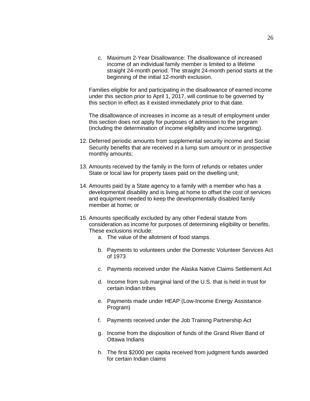c. Maximum 2-Year Disallowance: The disallowance of increased income of an individual family member is limited to a lifetime straight 24-month period. The straight 24-month period starts at the beginning of the initial 12-month exclusion.

Families eligible for and participating in the disallowance of earned income under this section prior to April 1, 2017, will continue to be governed by this section in effect as it existed immediately prior to that date.

The disallowance of increases in income as a result of employment under this section does not apply for purposes of admission to the program (including the determination of income eligibility and income targeting).

- 12. Deferred periodic amounts from supplemental security income and Social Security benefits that are received in a lump sum amount or in prospective monthly amounts;
- 13. Amounts received by the family in the form of refunds or rebates under State or local law for property taxes paid on the dwelling unit;
- 14. Amounts paid by a State agency to a family with a member who has a developmental disability and is living at home to offset the cost of services and equipment needed to keep the developmentally disabled family member at home; or
- 15. Amounts specifically excluded by any other Federal statute from consideration as income for purposes of determining eligibility or benefits. These exclusions include:
	- a. The value of the allotment of food stamps
	- b. Payments to volunteers under the Domestic Volunteer Services Act of 1973
	- c. Payments received under the Alaska Native Claims Settlement Act
	- d. Income from sub marginal land of the U.S. that is held in trust for certain Indian tribes
	- e. Payments made under HEAP (Low-Income Energy Assistance Program)
	- f. Payments received under the Job Training Partnership Act
	- g. Income from the disposition of funds of the Grand River Band of Ottawa Indians
	- h. The first \$2000 per capita received from judgment funds awarded for certain Indian claims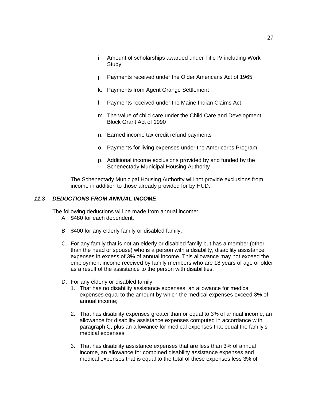- i. Amount of scholarships awarded under Title IV including Work **Study**
- j. Payments received under the Older Americans Act of 1965
- k. Payments from Agent Orange Settlement
- l. Payments received under the Maine Indian Claims Act
- m. The value of child care under the Child Care and Development Block Grant Act of 1990
- n. Earned income tax credit refund payments
- o. Payments for living expenses under the Americorps Program
- p. Additional income exclusions provided by and funded by the Schenectady Municipal Housing Authority

The Schenectady Municipal Housing Authority will not provide exclusions from income in addition to those already provided for by HUD.

#### *11.3 DEDUCTIONS FROM ANNUAL INCOME*

The following deductions will be made from annual income:

- A. \$480 for each dependent;
- B. \$400 for any elderly family or disabled family;
- C. For any family that is not an elderly or disabled family but has a member (other than the head or spouse) who is a person with a disability, disability assistance expenses in excess of 3% of annual income. This allowance may not exceed the employment income received by family members who are 18 years of age or older as a result of the assistance to the person with disabilities.
- D. For any elderly or disabled family:
	- 1. That has no disability assistance expenses, an allowance for medical expenses equal to the amount by which the medical expenses exceed 3% of annual income;
	- 2. That has disability expenses greater than or equal to 3% of annual income, an allowance for disability assistance expenses computed in accordance with paragraph C, plus an allowance for medical expenses that equal the family's medical expenses;
	- 3. That has disability assistance expenses that are less than 3% of annual income, an allowance for combined disability assistance expenses and medical expenses that is equal to the total of these expenses less 3% of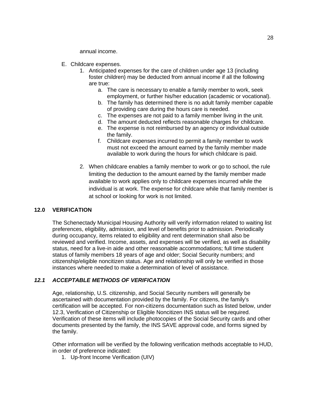annual income.

- E. Childcare expenses.
	- 1. Anticipated expenses for the care of children under age 13 (including foster children) may be deducted from annual income if all the following are true:
		- a. The care is necessary to enable a family member to work, seek employment, or further his/her education (academic or vocational).
		- b. The family has determined there is no adult family member capable of providing care during the hours care is needed.
		- c. The expenses are not paid to a family member living in the unit.
		- d. The amount deducted reflects reasonable charges for childcare.
		- e. The expense is not reimbursed by an agency or individual outside the family.
		- f. Childcare expenses incurred to permit a family member to work must not exceed the amount earned by the family member made available to work during the hours for which childcare is paid.
	- 2. When childcare enables a family member to work or go to school, the rule limiting the deduction to the amount earned by the family member made available to work applies only to childcare expenses incurred while the individual is at work. The expense for childcare while that family member is at school or looking for work is not limited.

#### **12.0 VERIFICATION**

The Schenectady Municipal Housing Authority will verify information related to waiting list preferences, eligibility, admission, and level of benefits prior to admission. Periodically during occupancy, items related to eligibility and rent determination shall also be reviewed and verified. Income, assets, and expenses will be verified, as well as disability status, need for a live-in aide and other reasonable accommodations; full time student status of family members 18 years of age and older; Social Security numbers; and citizenship/eligible noncitizen status. Age and relationship will only be verified in those instances where needed to make a determination of level of assistance.

#### *12.1 ACCEPTABLE METHODS OF VERIFICATION*

Age, relationship, U.S. citizenship, and Social Security numbers will generally be ascertained with documentation provided by the family. For citizens, the family's certification will be accepted. For non-citizens documentation such as listed below, under 12.3, Verification of Citizenship or Eligible Noncitizen INS status will be required. Verification of these items will include photocopies of the Social Security cards and other documents presented by the family, the INS SAVE approval code, and forms signed by the family.

Other information will be verified by the following verification methods acceptable to HUD, in order of preference indicated:

1. Up-front Income Verification (UIV)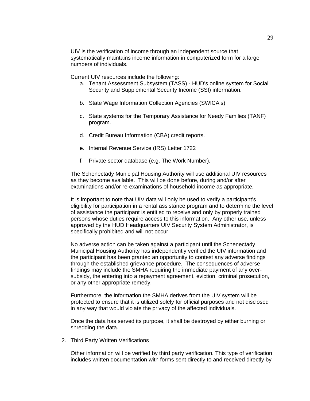UIV is the verification of income through an independent source that systematically maintains income information in computerized form for a large numbers of individuals.

Current UIV resources include the following:

- a. Tenant Assessment Subsystem (TASS) HUD's online system for Social Security and Supplemental Security Income (SSI) information.
- b. State Wage Information Collection Agencies (SWICA's)
- c. State systems for the Temporary Assistance for Needy Families (TANF) program.
- d. Credit Bureau Information (CBA) credit reports.
- e. Internal Revenue Service (IRS) Letter 1722
- f. Private sector database (e.g. The Work Number).

The Schenectady Municipal Housing Authority will use additional UIV resources as they become available. This will be done before, during and/or after examinations and/or re-examinations of household income as appropriate.

It is important to note that UIV data will only be used to verify a participant's eligibility for participation in a rental assistance program and to determine the level of assistance the participant is entitled to receive and only by properly trained persons whose duties require access to this information. Any other use, unless approved by the HUD Headquarters UIV Security System Administrator, is specifically prohibited and will not occur.

No adverse action can be taken against a participant until the Schenectady Municipal Housing Authority has independently verified the UIV information and the participant has been granted an opportunity to contest any adverse findings through the established grievance procedure. The consequences of adverse findings may include the SMHA requiring the immediate payment of any oversubsidy, the entering into a repayment agreement, eviction, criminal prosecution, or any other appropriate remedy.

Furthermore, the information the SMHA derives from the UIV system will be protected to ensure that it is utilized solely for official purposes and not disclosed in any way that would violate the privacy of the affected individuals.

Once the data has served its purpose, it shall be destroyed by either burning or shredding the data.

2. Third Party Written Verifications

Other information will be verified by third party verification. This type of verification includes written documentation with forms sent directly to and received directly by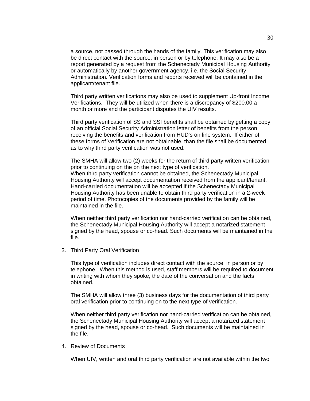a source, not passed through the hands of the family. This verification may also be direct contact with the source, in person or by telephone. It may also be a report generated by a request from the Schenectady Municipal Housing Authority or automatically by another government agency, i.e. the Social Security Administration. Verification forms and reports received will be contained in the applicant/tenant file.

Third party written verifications may also be used to supplement Up-front Income Verifications. They will be utilized when there is a discrepancy of \$200.00 a month or more and the participant disputes the UIV results.

Third party verification of SS and SSI benefits shall be obtained by getting a copy of an official Social Security Administration letter of benefits from the person receiving the benefits and verification from HUD's on line system. If either of these forms of Verification are not obtainable, than the file shall be documented as to why third party verification was not used.

The SMHA will allow two (2) weeks for the return of third party written verification prior to continuing on the on the next type of verification. When third party verification cannot be obtained, the Schenectady Municipal Housing Authority will accept documentation received from the applicant/tenant. Hand-carried documentation will be accepted if the Schenectady Municipal Housing Authority has been unable to obtain third party verification in a 2-week period of time. Photocopies of the documents provided by the family will be maintained in the file.

When neither third party verification nor hand-carried verification can be obtained, the Schenectady Municipal Housing Authority will accept a notarized statement signed by the head, spouse or co-head. Such documents will be maintained in the file.

3. Third Party Oral Verification

This type of verification includes direct contact with the source, in person or by telephone. When this method is used, staff members will be required to document in writing with whom they spoke, the date of the conversation and the facts obtained.

The SMHA will allow three (3) business days for the documentation of third party oral verification prior to continuing on to the next type of verification.

When neither third party verification nor hand-carried verification can be obtained, the Schenectady Municipal Housing Authority will accept a notarized statement signed by the head, spouse or co-head. Such documents will be maintained in the file.

#### 4. Review of Documents

When UIV, written and oral third party verification are not available within the two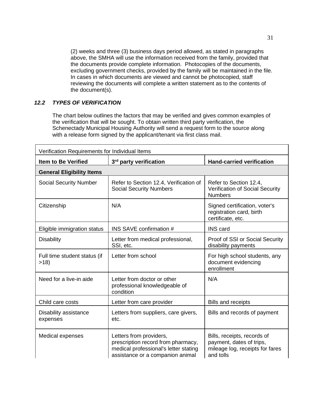(2) weeks and three (3) business days period allowed, as stated in paragraphs above, the SMHA will use the information received from the family, provided that the documents provide complete information. Photocopies of the documents, excluding government checks, provided by the family will be maintained in the file. In cases in which documents are viewed and cannot be photocopied, staff reviewing the documents will complete a written statement as to the contents of the document(s).

# *12.2 TYPES OF VERIFICATION*

The chart below outlines the factors that may be verified and gives common examples of the verification that will be sought. To obtain written third party verification, the Schenectady Municipal Housing Authority will send a request form to the source along with a release form signed by the applicant/tenant via first class mail.

| Verification Requirements for Individual Items |                                                                                                                                            |                                                                                                         |  |  |  |
|------------------------------------------------|--------------------------------------------------------------------------------------------------------------------------------------------|---------------------------------------------------------------------------------------------------------|--|--|--|
| <b>Item to Be Verified</b>                     | 3rd party verification                                                                                                                     | <b>Hand-carried verification</b>                                                                        |  |  |  |
| <b>General Eligibility Items</b>               |                                                                                                                                            |                                                                                                         |  |  |  |
| <b>Social Security Number</b>                  | Refer to Section 12.4, Verification of<br><b>Social Security Numbers</b>                                                                   | Refer to Section 12.4,<br>Verification of Social Security<br><b>Numbers</b>                             |  |  |  |
| Citizenship                                    | N/A                                                                                                                                        | Signed certification, voter's<br>registration card, birth<br>certificate, etc.                          |  |  |  |
| Eligible immigration status                    | <b>INS SAVE confirmation #</b>                                                                                                             | <b>INS</b> card                                                                                         |  |  |  |
| <b>Disability</b>                              | Letter from medical professional,<br>SSI, etc.                                                                                             | Proof of SSI or Social Security<br>disability payments                                                  |  |  |  |
| Full time student status (if<br>>18            | Letter from school                                                                                                                         | For high school students, any<br>document evidencing<br>enrollment                                      |  |  |  |
| Need for a live-in aide                        | Letter from doctor or other<br>professional knowledgeable of<br>condition                                                                  | N/A                                                                                                     |  |  |  |
| Child care costs                               | Letter from care provider                                                                                                                  | <b>Bills and receipts</b>                                                                               |  |  |  |
| Disability assistance<br>expenses              | Letters from suppliers, care givers,<br>etc.                                                                                               | Bills and records of payment                                                                            |  |  |  |
| Medical expenses                               | Letters from providers,<br>prescription record from pharmacy,<br>medical professional's letter stating<br>assistance or a companion animal | Bills, receipts, records of<br>payment, dates of trips,<br>mileage log, receipts for fares<br>and tolls |  |  |  |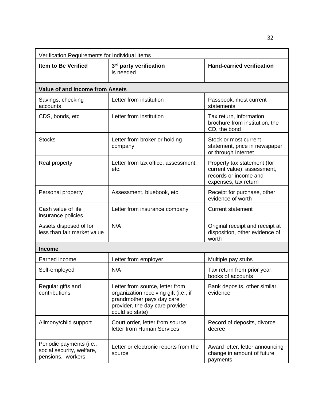| Verification Requirements for Individual Items                             |                                                                                                                                                             |                                                                                                             |  |  |  |
|----------------------------------------------------------------------------|-------------------------------------------------------------------------------------------------------------------------------------------------------------|-------------------------------------------------------------------------------------------------------------|--|--|--|
| <b>Item to Be Verified</b>                                                 | 3rd party verification                                                                                                                                      | <b>Hand-carried verification</b>                                                                            |  |  |  |
|                                                                            | is needed                                                                                                                                                   |                                                                                                             |  |  |  |
| <b>Value of and Income from Assets</b>                                     |                                                                                                                                                             |                                                                                                             |  |  |  |
| Savings, checking<br>accounts                                              | Letter from institution                                                                                                                                     | Passbook, most current<br>statements                                                                        |  |  |  |
| CDS, bonds, etc                                                            | Letter from institution                                                                                                                                     | Tax return, information<br>brochure from institution, the<br>CD, the bond                                   |  |  |  |
| <b>Stocks</b>                                                              | Letter from broker or holding<br>company                                                                                                                    | Stock or most current<br>statement, price in newspaper<br>or through Internet                               |  |  |  |
| Real property                                                              | Letter from tax office, assessment,<br>etc.                                                                                                                 | Property tax statement (for<br>current value), assessment,<br>records or income and<br>expenses, tax return |  |  |  |
| Personal property                                                          | Assessment, bluebook, etc.                                                                                                                                  | Receipt for purchase, other<br>evidence of worth                                                            |  |  |  |
| Cash value of life<br>insurance policies                                   | Letter from insurance company                                                                                                                               | <b>Current statement</b>                                                                                    |  |  |  |
| Assets disposed of for<br>less than fair market value                      | N/A                                                                                                                                                         | Original receipt and receipt at<br>disposition, other evidence of<br>worth                                  |  |  |  |
| <b>Income</b>                                                              |                                                                                                                                                             |                                                                                                             |  |  |  |
| Earned income                                                              | Letter from employer                                                                                                                                        | Multiple pay stubs                                                                                          |  |  |  |
| Self-employed                                                              | N/A                                                                                                                                                         | Tax return from prior year,<br>books of accounts                                                            |  |  |  |
| Regular gifts and<br>contributions                                         | Letter from source, letter from<br>organization receiving gift (i.e., if<br>grandmother pays day care<br>provider, the day care provider<br>could so state) | Bank deposits, other similar<br>evidence                                                                    |  |  |  |
| Alimony/child support                                                      | Court order, letter from source,<br>letter from Human Services                                                                                              | Record of deposits, divorce<br>decree                                                                       |  |  |  |
| Periodic payments (i.e.,<br>social security, welfare,<br>pensions, workers | Letter or electronic reports from the<br>source                                                                                                             | Award letter, letter announcing<br>change in amount of future<br>payments                                   |  |  |  |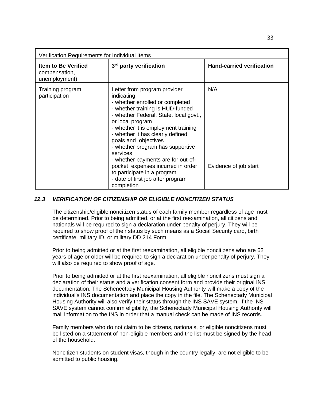| Verification Requirements for Individual Items |                                                                                                                                                                                                                                                                                                                                                                                                                                                                                                 |                                  |
|------------------------------------------------|-------------------------------------------------------------------------------------------------------------------------------------------------------------------------------------------------------------------------------------------------------------------------------------------------------------------------------------------------------------------------------------------------------------------------------------------------------------------------------------------------|----------------------------------|
| <b>Item to Be Verified</b>                     | 3 <sup>rd</sup> party verification                                                                                                                                                                                                                                                                                                                                                                                                                                                              | <b>Hand-carried verification</b> |
| compensation,<br>unemployment)                 |                                                                                                                                                                                                                                                                                                                                                                                                                                                                                                 |                                  |
| Training program<br>participation              | Letter from program provider<br>indicating<br>- whether enrolled or completed<br>- whether training is HUD-funded<br>- whether Federal, State, local govt.,<br>or local program<br>- whether it is employment training<br>- whether it has clearly defined<br>goals and objectives<br>- whether program has supportive<br>services<br>- whether payments are for out-of-<br>pocket expenses incurred in order<br>to participate in a program<br>- date of first job after program<br>completion | N/A<br>Evidence of job start     |

## *12.3 VERIFICATION OF CITIZENSHIP OR ELIGIBLE NONCITIZEN STATUS*

The citizenship/eligible noncitizen status of each family member regardless of age must be determined. Prior to being admitted, or at the first reexamination, all citizens and nationals will be required to sign a declaration under penalty of perjury. They will be required to show proof of their status by such means as a Social Security card, birth certificate, military ID, or military DD 214 Form.

Prior to being admitted or at the first reexamination, all eligible noncitizens who are 62 years of age or older will be required to sign a declaration under penalty of perjury. They will also be required to show proof of age.

Prior to being admitted or at the first reexamination, all eligible noncitizens must sign a declaration of their status and a verification consent form and provide their original INS documentation. The Schenectady Municipal Housing Authority will make a copy of the individual's INS documentation and place the copy in the file. The Schenectady Municipal Housing Authority will also verify their status through the INS SAVE system. If the INS SAVE system cannot confirm eligibility, the Schenectady Municipal Housing Authority will mail information to the INS in order that a manual check can be made of INS records.

Family members who do not claim to be citizens, nationals, or eligible noncitizens must be listed on a statement of non-eligible members and the list must be signed by the head of the household.

Noncitizen students on student visas, though in the country legally, are not eligible to be admitted to public housing.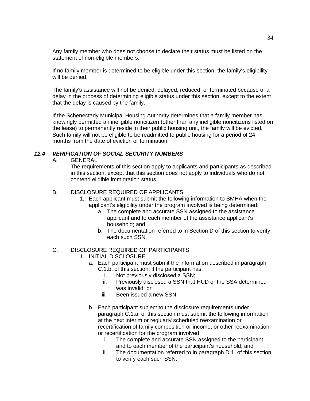Any family member who does not choose to declare their status must be listed on the statement of non-eligible members.

If no family member is determined to be eligible under this section, the family's eligibility will be denied.

The family's assistance will not be denied, delayed, reduced, or terminated because of a delay in the process of determining eligible status under this section, except to the extent that the delay is caused by the family.

If the Schenectady Municipal Housing Authority determines that a family member has knowingly permitted an ineligible noncitizen (other than any ineligible noncitizens listed on the lease) to permanently reside in their public housing unit, the family will be evicted. Such family will not be eligible to be readmitted to public housing for a period of 24 months from the date of eviction or termination.

## *12.4 VERIFICATION OF SOCIAL SECURITY NUMBERS*

A. GENERAL

The requirements of this section apply to applicants and participants as described in this section, except that this section does not apply to individuals who do not contend eligible immigration status.

## B. DISCLOSURE REQUIRED OF APPLICANTS

- 1. Each applicant must submit the following information to SMHA when the applicant's eligibility under the program involved is being determined:
	- a. The complete and accurate SSN assigned to the assistance applicant and to each member of the assistance applicant's household; and
	- b. The documentation referred to in Section D of this section to verify each such SSN.

### C. DISCLOSURE REQUIRED OF PARTICIPANTS

- 1. INITIAL DISCLOSURE
	- a. Each participant must submit the information described in paragraph C.1.b. of this section, if the participant has:
		- i. Not previously disclosed a SSN;
		- ii. Previously disclosed a SSN that HUD or the SSA determined was invalid; or
		- iii. Been issued a new SSN.
	- b. Each participant subject to the disclosure requirements under paragraph C.1.a. of this section must submit the following information at the next interim or regularly scheduled reexamination or recertification of family composition or income, or other reexamination or recertification for the program involved:
		- i. The complete and accurate SSN assigned to the participant and to each member of the participant's household; and
		- ii. The documentation referred to in paragraph D.1. of this section to verify each such SSN.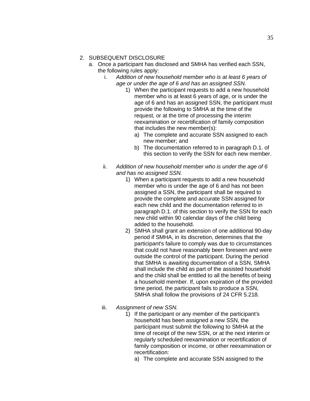### 2. SUBSEQUENT DISCLOSURE

- a. Once a participant has disclosed and SMHA has verified each SSN, the following rules apply:
	- i. *Addition of new household member who is at least 6 years of age or under the age of 6 and has an assigned SSN.*
		- 1) When the participant requests to add a new household member who is at least 6 years of age, or is under the age of 6 and has an assigned SSN, the participant must provide the following to SMHA at the time of the request, or at the time of processing the interim reexamination or recertification of family composition that includes the new member(s):
			- a) The complete and accurate SSN assigned to each new member; and
			- b) The documentation referred to in paragraph D.1. of this section to verify the SSN for each new member.
	- ii. *Addition of new household member who is under the age of 6 and has no assigned SSN.*
		- 1) When a participant requests to add a new household member who is under the age of 6 and has not been assigned a SSN, the participant shall be required to provide the complete and accurate SSN assigned for each new child and the documentation referred to in paragraph D.1. of this section to verify the SSN for each new child within 90 calendar days of the child being added to the household.
		- 2) SMHA shall grant an extension of one additional 90-day period if SMHA, in its discretion, determines that the participant's failure to comply was due to circumstances that could not have reasonably been foreseen and were outside the control of the participant. During the period that SMHA is awaiting documentation of a SSN, SMHA shall include the child as part of the assisted household and the child shall be entitled to all the benefits of being a household member. If, upon expiration of the provided time period, the participant fails to produce a SSN, SMHA shall follow the provisions of 24 CFR 5.218.
	- iii. *Assignment of new SSN.*
		- 1) If the participant or any member of the participant's household has been assigned a new SSN, the participant must submit the following to SMHA at the time of receipt of the new SSN, or at the next interim or regularly scheduled reexamination or recertification of family composition or income, or other reexamination or recertification:
			- a) The complete and accurate SSN assigned to the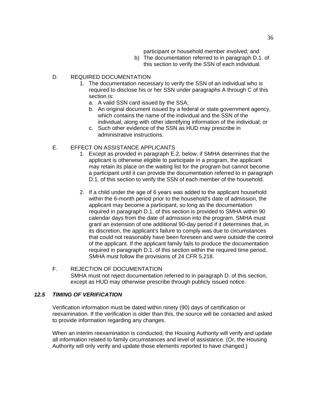participant or household member involved; and

b) The documentation referred to in paragraph D.1. of this section to verify the SSN of each individual.

## D. REQUIRED DOCUMENTATION

- 1. The documentation necessary to verify the SSN of an individual who is required to disclose his or her SSN under paragraphs A through C of this section is:
	- a. A valid SSN card issued by the SSA;
	- b. An original document issued by a federal or state government agency, which contains the name of the individual and the SSN of the individual, along with other identifying information of the individual; or
	- c. Such other evidence of the SSN as HUD may prescribe in administrative instructions.

# E. EFFECT ON ASSISTANCE APPLICANTS

- 1. Except as provided in paragraph E.2, below, if SMHA determines that the applicant is otherwise eligible to participate in a program, the applicant may retain its place on the waiting list for the program but cannot become a participant until it can provide the documentation referred to in paragraph D.1. of this section to verify the SSN of each member of the household.
- 2. If a child under the age of 6 years was added to the applicant household within the 6-month period prior to the household's date of admission, the applicant may become a participant, so long as the documentation required in paragraph D.1. of this section is provided to SMHA within 90 calendar days from the date of admission into the program. SMHA must grant an extension of one additional 90-day period if it determines that, in its discretion, the applicant's failure to comply was due to circumstances that could not reasonably have been foreseen and were outside the control of the applicant. If the applicant family fails to produce the documentation required in paragraph D.1. of this section within the required time period, SMHA must follow the provisions of 24 CFR 5.218.

### F. REJECTION OF DOCUMENTATION SMHA must not reject documentation referred to in paragraph D. of this section, except as HUD may otherwise prescribe through publicly issued notice.

## *12.5 TIMING OF VERIFICATION*

Verification information must be dated within ninety (90) days of certification or reexamination. If the verification is older than this, the source will be contacted and asked to provide information regarding any changes.

When an interim reexamination is conducted, the Housing Authority will verify and update all information related to family circumstances and level of assistance. (Or, the Housing Authority will only verify and update those elements reported to have changed.)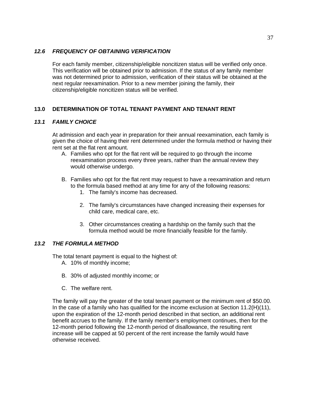## *12.6 FREQUENCY OF OBTAINING VERIFICATION*

For each family member, citizenship/eligible noncitizen status will be verified only once. This verification will be obtained prior to admission. If the status of any family member was not determined prior to admission, verification of their status will be obtained at the next regular reexamination. Prior to a new member joining the family, their citizenship/eligible noncitizen status will be verified.

# **13.0 DETERMINATION OF TOTAL TENANT PAYMENT AND TENANT RENT**

## *13.1 FAMILY CHOICE*

At admission and each year in preparation for their annual reexamination, each family is given the choice of having their rent determined under the formula method or having their rent set at the flat rent amount.

- A. Families who opt for the flat rent will be required to go through the income reexamination process every three years, rather than the annual review they would otherwise undergo.
- B. Families who opt for the flat rent may request to have a reexamination and return to the formula based method at any time for any of the following reasons:
	- 1. The family's income has decreased.
	- 2. The family's circumstances have changed increasing their expenses for child care, medical care, etc.
	- 3. Other circumstances creating a hardship on the family such that the formula method would be more financially feasible for the family.

## *13.2 THE FORMULA METHOD*

The total tenant payment is equal to the highest of:

- A. 10% of monthly income;
- B. 30% of adjusted monthly income; or
- C. The welfare rent.

The family will pay the greater of the total tenant payment or the minimum rent of \$50.00. In the case of a family who has qualified for the income exclusion at Section 11.2(H)(11), upon the expiration of the 12-month period described in that section, an additional rent benefit accrues to the family. If the family member's employment continues, then for the 12-month period following the 12-month period of disallowance, the resulting rent increase will be capped at 50 percent of the rent increase the family would have otherwise received.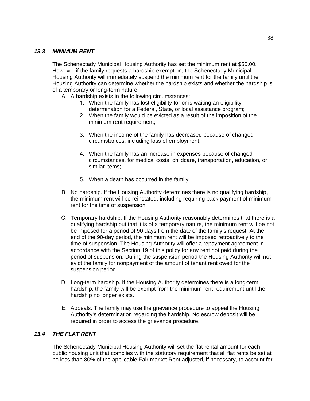### *13.3 MINIMUM RENT*

The Schenectady Municipal Housing Authority has set the minimum rent at \$50.00. However if the family requests a hardship exemption, the Schenectady Municipal Housing Authority will immediately suspend the minimum rent for the family until the Housing Authority can determine whether the hardship exists and whether the hardship is of a temporary or long-term nature.

- A. A hardship exists in the following circumstances:
	- 1. When the family has lost eligibility for or is waiting an eligibility determination for a Federal, State, or local assistance program;
	- 2. When the family would be evicted as a result of the imposition of the minimum rent requirement;
	- 3. When the income of the family has decreased because of changed circumstances, including loss of employment;
	- 4. When the family has an increase in expenses because of changed circumstances, for medical costs, childcare, transportation, education, or similar items;
	- 5. When a death has occurred in the family.
- B. No hardship. If the Housing Authority determines there is no qualifying hardship, the minimum rent will be reinstated, including requiring back payment of minimum rent for the time of suspension.
- C. Temporary hardship. If the Housing Authority reasonably determines that there is a qualifying hardship but that it is of a temporary nature, the minimum rent will be not be imposed for a period of 90 days from the date of the family's request. At the end of the 90-day period, the minimum rent will be imposed retroactively to the time of suspension. The Housing Authority will offer a repayment agreement in accordance with the Section 19 of this policy for any rent not paid during the period of suspension. During the suspension period the Housing Authority will not evict the family for nonpayment of the amount of tenant rent owed for the suspension period.
- D. Long-term hardship. If the Housing Authority determines there is a long-term hardship, the family will be exempt from the minimum rent requirement until the hardship no longer exists.
- E. Appeals. The family may use the grievance procedure to appeal the Housing Authority's determination regarding the hardship. No escrow deposit will be required in order to access the grievance procedure.

## *13.4 THE FLAT RENT*

The Schenectady Municipal Housing Authority will set the flat rental amount for each public housing unit that complies with the statutory requirement that all flat rents be set at no less than 80% of the applicable Fair market Rent adjusted, if necessary, to account for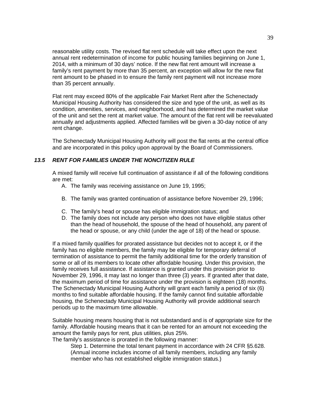reasonable utility costs. The revised flat rent schedule will take effect upon the next annual rent redetermination of income for public housing families beginning on June 1, 2014, with a minimum of 30 days' notice. If the new flat rent amount will increase a family's rent payment by more than 35 percent, an exception will allow for the new flat rent amount to be phased in to ensure the family rent payment will not increase more than 35 percent annually.

Flat rent may exceed 80% of the applicable Fair Market Rent after the Schenectady Municipal Housing Authority has considered the size and type of the unit, as well as its condition, amenities, services, and neighborhood, and has determined the market value of the unit and set the rent at market value. The amount of the flat rent will be reevaluated annually and adjustments applied. Affected families will be given a 30-day notice of any rent change.

The Schenectady Municipal Housing Authority will post the flat rents at the central office and are incorporated in this policy upon approval by the Board of Commissioners.

## *13.5 RENT FOR FAMILIES UNDER THE NONCITIZEN RULE*

A mixed family will receive full continuation of assistance if all of the following conditions are met:

- A. The family was receiving assistance on June 19, 1995;
- B. The family was granted continuation of assistance before November 29, 1996;
- C. The family's head or spouse has eligible immigration status; and
- D. The family does not include any person who does not have eligible status other than the head of household, the spouse of the head of household, any parent of the head or spouse, or any child (under the age of 18) of the head or spouse.

If a mixed family qualifies for prorated assistance but decides not to accept it, or if the family has no eligible members, the family may be eligible for temporary deferral of termination of assistance to permit the family additional time for the orderly transition of some or all of its members to locate other affordable housing. Under this provision, the family receives full assistance. If assistance is granted under this provision prior to November 29, 1996, it may last no longer than three (3) years. If granted after that date, the maximum period of time for assistance under the provision is eighteen (18) months. The Schenectady Municipal Housing Authority will grant each family a period of six (6) months to find suitable affordable housing. If the family cannot find suitable affordable housing, the Schenectady Municipal Housing Authority will provide additional search periods up to the maximum time allowable.

Suitable housing means housing that is not substandard and is of appropriate size for the family. Affordable housing means that it can be rented for an amount not exceeding the amount the family pays for rent, plus utilities, plus 25%.

The family's assistance is prorated in the following manner:

Step 1. Determine the total tenant payment in accordance with 24 CFR §5.628. (Annual income includes income of all family members, including any family member who has not established eligible immigration status.)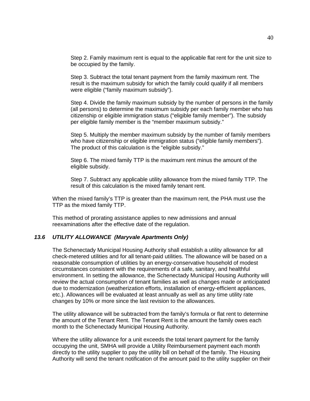Step 2. Family maximum rent is equal to the applicable flat rent for the unit size to be occupied by the family.

Step 3. Subtract the total tenant payment from the family maximum rent. The result is the maximum subsidy for which the family could qualify if all members were eligible ("family maximum subsidy").

Step 4. Divide the family maximum subsidy by the number of persons in the family (all persons) to determine the maximum subsidy per each family member who has citizenship or eligible immigration status ("eligible family member"). The subsidy per eligible family member is the "member maximum subsidy."

Step 5. Multiply the member maximum subsidy by the number of family members who have citizenship or eligible immigration status ("eligible family members"). The product of this calculation is the "eligible subsidy."

Step 6. The mixed family TTP is the maximum rent minus the amount of the eligible subsidy.

Step 7. Subtract any applicable utility allowance from the mixed family TTP. The result of this calculation is the mixed family tenant rent.

When the mixed family's TTP is greater than the maximum rent, the PHA must use the TTP as the mixed family TTP.

This method of prorating assistance applies to new admissions and annual reexaminations after the effective date of the regulation.

### *13.6 UTILITY ALLOWANCE (Maryvale Apartments Only)*

The Schenectady Municipal Housing Authority shall establish a utility allowance for all check-metered utilities and for all tenant-paid utilities. The allowance will be based on a reasonable consumption of utilities by an energy-conservative household of modest circumstances consistent with the requirements of a safe, sanitary, and healthful environment. In setting the allowance, the Schenectady Municipal Housing Authority will review the actual consumption of tenant families as well as changes made or anticipated due to modernization (weatherization efforts, installation of energy-efficient appliances, etc.). Allowances will be evaluated at least annually as well as any time utility rate changes by 10% or more since the last revision to the allowances.

The utility allowance will be subtracted from the family's formula or flat rent to determine the amount of the Tenant Rent. The Tenant Rent is the amount the family owes each month to the Schenectady Municipal Housing Authority.

Where the utility allowance for a unit exceeds the total tenant payment for the family occupying the unit, SMHA will provide a Utility Reimbursement payment each month directly to the utility supplier to pay the utility bill on behalf of the family. The Housing Authority will send the tenant notification of the amount paid to the utility supplier on their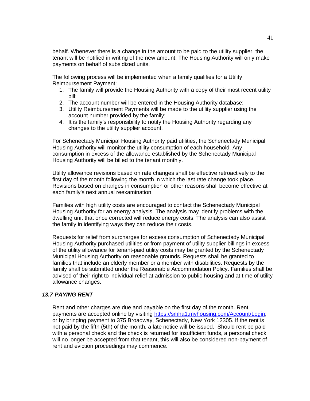behalf. Whenever there is a change in the amount to be paid to the utility supplier, the tenant will be notified in writing of the new amount. The Housing Authority will only make payments on behalf of subsidized units.

The following process will be implemented when a family qualifies for a Utility Reimbursement Payment:

- 1. The family will provide the Housing Authority with a copy of their most recent utility bill;
- 2. The account number will be entered in the Housing Authority database;
- 3. Utility Reimbursement Payments will be made to the utility supplier using the account number provided by the family;
- 4. It is the family's responsibility to notify the Housing Authority regarding any changes to the utility supplier account.

For Schenectady Municipal Housing Authority paid utilities, the Schenectady Municipal Housing Authority will monitor the utility consumption of each household. Any consumption in excess of the allowance established by the Schenectady Municipal Housing Authority will be billed to the tenant monthly.

Utility allowance revisions based on rate changes shall be effective retroactively to the first day of the month following the month in which the last rate change took place. Revisions based on changes in consumption or other reasons shall become effective at each family's next annual reexamination.

Families with high utility costs are encouraged to contact the Schenectady Municipal Housing Authority for an energy analysis. The analysis may identify problems with the dwelling unit that once corrected will reduce energy costs. The analysis can also assist the family in identifying ways they can reduce their costs.

Requests for relief from surcharges for excess consumption of Schenectady Municipal Housing Authority purchased utilities or from payment of utility supplier billings in excess of the utility allowance for tenant-paid utility costs may be granted by the Schenectady Municipal Housing Authority on reasonable grounds. Requests shall be granted to families that include an elderly member or a member with disabilities. Requests by the family shall be submitted under the Reasonable Accommodation Policy. Families shall be advised of their right to individual relief at admission to public housing and at time of utility allowance changes.

### *13.7 PAYING RENT*

Rent and other charges are due and payable on the first day of the month. Rent payments are accepted online by visiting [https://smha1.myhousing.com/Account/Login,](https://smha1.myhousing.com/Account/Login) or by bringing payment to 375 Broadway, Schenectady, New York 12305. If the rent is not paid by the fifth (5th) of the month, a late notice will be issued. Should rent be paid with a personal check and the check is returned for insufficient funds, a personal check will no longer be accepted from that tenant, this will also be considered non-payment of rent and eviction proceedings may commence.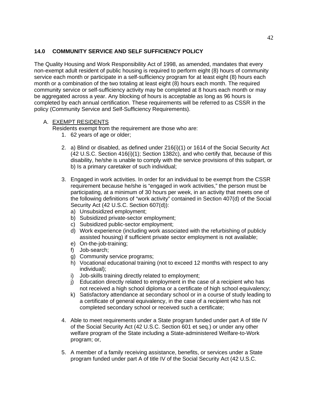# **14.0 COMMUNITY SERVICE AND SELF SUFFICIENCY POLICY**

The Quality Housing and Work Responsibility Act of 1998, as amended, mandates that every non-exempt adult resident of public housing is required to perform eight (8) hours of community service each month or participate in a self-sufficiency program for at least eight (8) hours each month or a combination of the two totaling at least eight (8) hours each month. The required community service or self-sufficiency activity may be completed at 8 hours each month or may be aggregated across a year. Any blocking of hours is acceptable as long as 96 hours is completed by each annual certification. These requirements will be referred to as CSSR in the policy (Community Service and Self-Sufficiency Requirements).

# A. EXEMPT RESIDENTS

Residents exempt from the requirement are those who are:

- 1. 62 years of age or older;
- 2. a) Blind or disabled, as defined under 216(i)(1) or 1614 of the Social Security Act (42 U.S.C. Section 416(i)(1); Section 1382c), and who certify that, because of this disability, he/she is unable to comply with the service provisions of this subpart, or b) Is a primary caretaker of such individual;
- 3. Engaged in work activities. In order for an individual to be exempt from the CSSR requirement because he/she is "engaged in work activities," the person must be participating, at a minimum of 30 hours per week, in an activity that meets one of the following definitions of "work activity" contained in Section 407(d) of the Social Security Act (42 U.S.C. Section 607(d)):
	- a) Unsubsidized employment;
	- b) Subsidized private-sector employment;
	- c) Subsidized public-sector employment;
	- d) Work experience (including work associated with the refurbishing of publicly assisted housing) if sufficient private sector employment is not available;
	- e) On-the-job-training;
	- f) Job-search;
	- g) Community service programs;
	- h) Vocational educational training (not to exceed 12 months with respect to any individual);
	- i) Job-skills training directly related to employment;
	- j) Education directly related to employment in the case of a recipient who has not received a high school diploma or a certificate of high school equivalency;
	- k) Satisfactory attendance at secondary school or in a course of study leading to a certificate of general equivalency, in the case of a recipient who has not completed secondary school or received such a certificate;
- 4. Able to meet requirements under a State program funded under part A of title IV of the Social Security Act (42 U.S.C. Section 601 et seq.) or under any other welfare program of the State including a State-administered Welfare-to-Work program; or,
- 5. A member of a family receiving assistance, benefits, or services under a State program funded under part A of title IV of the Social Security Act (42 U.S.C.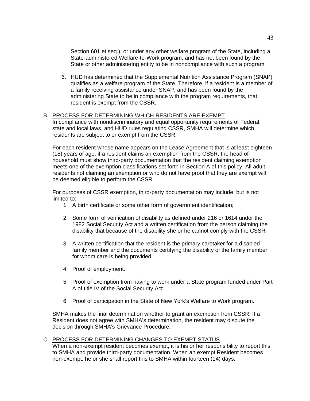Section 601 et seq.), or under any other welfare program of the State, including a State-administered Welfare-to-Work program, and has not been found by the State or other administering entity to be in noncompliance with such a program.

6. HUD has determined that the Supplemental Nutrition Assistance Program (SNAP) qualifies as a welfare program of the State. Therefore, if a resident is a member of a family receiving assistance under SNAP, and has been found by the administering State to be in compliance with the program requirements, that resident is exempt from the CSSR.

## B. PROCESS FOR DETERMINING WHICH RESIDENTS ARE EXEMPT

In compliance with nondiscriminatory and equal opportunity requirements of Federal, state and local laws, and HUD rules regulating CSSR, SMHA will determine which residents are subject to or exempt from the CSSR.

For each resident whose name appears on the Lease Agreement that is at least eighteen (18) years of age, if a resident claims an exemption from the CSSR, the head of household must show third-party documentation that the resident claiming exemption meets one of the exemption classifications set forth in Section A of this policy. All adult residents not claiming an exemption or who do not have proof that they are exempt will be deemed eligible to perform the CSSR.

For purposes of CSSR exemption, third-party documentation may include, but is not limited to:

- 1. A birth certificate or some other form of government identification;
- 2. Some form of verification of disability as defined under 216 or 1614 under the 1982 Social Security Act and a written certification from the person claiming the disability that because of the disability she or he cannot comply with the CSSR.
- 3. A written certification that the resident is the primary caretaker for a disabled family member and the documents certifying the disability of the family member for whom care is being provided.
- 4. Proof of employment.
- 5. Proof of exemption from having to work under a State program funded under Part A of title IV of the Social Security Act.
- 6. Proof of participation in the State of New York's Welfare to Work program.

SMHA makes the final determination whether to grant an exemption from CSSR. If a Resident does not agree with SMHA's determination, the resident may dispute the decision through SMHA's Grievance Procedure.

### C. PROCESS FOR DETERMINING CHANGES TO EXEMPT STATUS

When a non-exempt resident becomes exempt, it is his or her responsibility to report this to SMHA and provide third-party documentation. When an exempt Resident becomes non-exempt, he or she shall report this to SMHA within fourteen (14) days.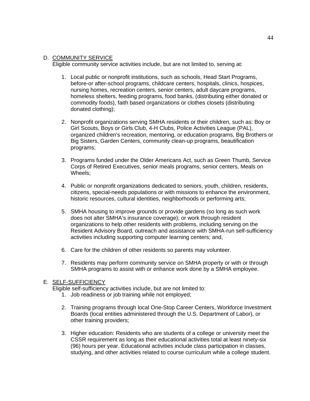## D. COMMUNITY SERVICE

Eligible community service activities include, but are not limited to, serving at:

- 1. Local public or nonprofit institutions, such as schools, Head Start Programs, before-or after-school programs, childcare centers, hospitals, clinics, hospices, nursing homes, recreation centers, senior centers, adult daycare programs, homeless shelters, feeding programs, food banks, (distributing either donated or commodity foods), faith based organizations or clothes closets (distributing donated clothing);
- 2. Nonprofit organizations serving SMHA residents or their children, such as: Boy or Girl Scouts, Boys or Girls Club, 4-H Clubs, Police Activities League (PAL), organized children's recreation, mentoring, or education programs, Big Brothers or Big Sisters, Garden Centers, community clean-up programs, beautification programs;
- 3. Programs funded under the Older Americans Act, such as Green Thumb, Service Corps of Retired Executives, senior meals programs, senior centers, Meals on Wheels;
- 4. Public or nonprofit organizations dedicated to seniors, youth, children, residents, citizens, special-needs populations or with missions to enhance the environment, historic resources, cultural identities, neighborhoods or performing arts;
- 5. SMHA housing to improve grounds or provide gardens (so long as such work does not alter SMHA's insurance coverage); or work through resident organizations to help other residents with problems, including serving on the Resident Advisory Board, outreach and assistance with SMHA-run self-sufficiency activities including supporting computer learning centers; and,
- 6. Care for the children of other residents so parents may volunteer.
- 7. Residents may perform community service on SMHA property or with or through SMHA programs to assist with or enhance work done by a SMHA employee.

## E. SELF-SUFFICIENCY

Eligible self-sufficiency activities include, but are not limited to:

- 1. Job readiness or job training while not employed;
- 2. Training programs through local One-Stop Career Centers, Workforce Investment Boards (local entities administered through the U.S. Department of Labor), or other training providers;
- 3. Higher education: Residents who are students of a college or university meet the CSSR requirement as long as their educational activities total at least ninety-six (96) hours per year. Educational activities include class participation in classes, studying, and other activities related to course curriculum while a college student.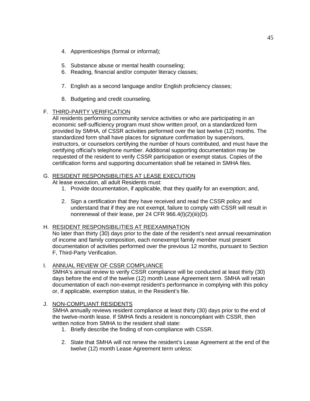- 4. Apprenticeships (formal or informal);
- 5. Substance abuse or mental health counseling;
- 6. Reading, financial and/or computer literacy classes;
- 7. English as a second language and/or English proficiency classes;
- 8. Budgeting and credit counseling.

### F. THIRD-PARTY VERIFICATION

All residents performing community service activities or who are participating in an economic self-sufficiency program must show written proof, on a standardized form provided by SMHA, of CSSR activities performed over the last twelve (12) months. The standardized form shall have places for signature confirmation by supervisors, instructors, or counselors certifying the number of hours contributed, and must have the certifying official's telephone number. Additional supporting documentation may be requested of the resident to verify CSSR participation or exempt status. Copies of the certification forms and supporting documentation shall be retained in SMHA files.

### G. RESIDENT RESPONSIBILITIES AT LEASE EXECUTION

At lease execution, all adult Residents must:

- 1. Provide documentation, if applicable, that they qualify for an exemption; and,
- 2. Sign a certification that they have received and read the CSSR policy and understand that if they are not exempt, failure to comply with CSSR will result in nonrenewal of their lease, per 24 CFR 966.4(l)(2)(iii)(D).

## H. RESIDENT RESPONSIBILITIES AT REEXAMINATION

No later than thirty (30) days prior to the date of the resident's next annual reexamination of income and family composition, each nonexempt family member must present documentation of activities performed over the previous 12 months, pursuant to Section F, Third-Party Verification.

## I. ANNUAL REVIEW OF CSSR COMPLIANCE

SMHA's annual review to verify CSSR compliance will be conducted at least thirty (30) days before the end of the twelve (12) month Lease Agreement term. SMHA will retain documentation of each non-exempt resident's performance in complying with this policy or, if applicable, exemption status, in the Resident's file.

## J. NON-COMPLIANT RESIDENTS

SMHA annually reviews resident compliance at least thirty (30) days prior to the end of the twelve-month lease. If SMHA finds a resident is noncompliant with CSSR, then written notice from SMHA to the resident shall state:

- 1. Briefly describe the finding of non-compliance with CSSR.
- 2. State that SMHA will not renew the resident's Lease Agreement at the end of the twelve (12) month Lease Agreement term unless: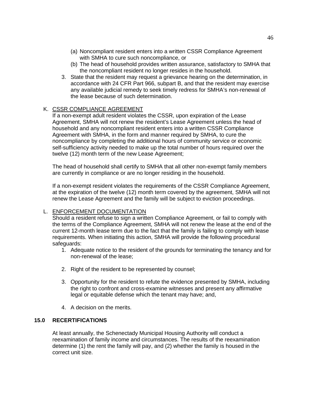- (a) Noncompliant resident enters into a written CSSR Compliance Agreement with SMHA to cure such noncompliance, or
- (b) The head of household provides written assurance, satisfactory to SMHA that the noncompliant resident no longer resides in the household.
- 3. State that the resident may request a grievance hearing on the determination, in accordance with 24 CFR Part 966, subpart B, and that the resident may exercise any available judicial remedy to seek timely redress for SMHA's non-renewal of the lease because of such determination.

### K. CSSR COMPLIANCE AGREEMENT

If a non-exempt adult resident violates the CSSR, upon expiration of the Lease Agreement, SMHA will not renew the resident's Lease Agreement unless the head of household and any noncompliant resident enters into a written CSSR Compliance Agreement with SMHA, in the form and manner required by SMHA, to cure the noncompliance by completing the additional hours of community service or economic self-sufficiency activity needed to make up the total number of hours required over the twelve (12) month term of the new Lease Agreement;

The head of household shall certify to SMHA that all other non-exempt family members are currently in compliance or are no longer residing in the household.

If a non-exempt resident violates the requirements of the CSSR Compliance Agreement, at the expiration of the twelve (12) month term covered by the agreement, SMHA will not renew the Lease Agreement and the family will be subject to eviction proceedings.

### L. ENFORCEMENT DOCUMENTATION

Should a resident refuse to sign a written Compliance Agreement, or fail to comply with the terms of the Compliance Agreement, SMHA will not renew the lease at the end of the current 12-month lease term due to the fact that the family is failing to comply with lease requirements. When initiating this action, SMHA will provide the following procedural safeguards:

- 1. Adequate notice to the resident of the grounds for terminating the tenancy and for non-renewal of the lease;
- 2. Right of the resident to be represented by counsel;
- 3. Opportunity for the resident to refute the evidence presented by SMHA, including the right to confront and cross-examine witnesses and present any affirmative legal or equitable defense which the tenant may have; and,
- 4. A decision on the merits.

## **15.0 RECERTIFICATIONS**

At least annually, the Schenectady Municipal Housing Authority will conduct a reexamination of family income and circumstances. The results of the reexamination determine (1) the rent the family will pay, and (2) whether the family is housed in the correct unit size.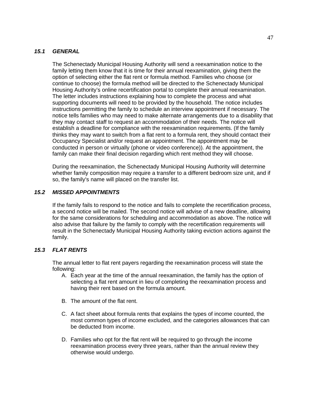## *15.1 GENERAL*

The Schenectady Municipal Housing Authority will send a reexamination notice to the family letting them know that it is time for their annual reexamination, giving them the option of selecting either the flat rent or formula method. Families who choose (or continue to choose) the formula method will be directed to the Schenectady Municipal Housing Authority's online recertification portal to complete their annual reexamination. The letter includes instructions explaining how to complete the process and what supporting documents will need to be provided by the household. The notice includes instructions permitting the family to schedule an interview appointment if necessary. The notice tells families who may need to make alternate arrangements due to a disability that they may contact staff to request an accommodation of their needs. The notice will establish a deadline for compliance with the reexamination requirements. (If the family thinks they may want to switch from a flat rent to a formula rent, they should contact their Occupancy Specialist and/or request an appointment. The appointment may be conducted in person or virtually (phone or video conference)). At the appointment, the family can make their final decision regarding which rent method they will choose.

During the reexamination, the Schenectady Municipal Housing Authority will determine whether family composition may require a transfer to a different bedroom size unit, and if so, the family's name will placed on the transfer list.

# *15.2 MISSED APPOINTMENTS*

If the family fails to respond to the notice and fails to complete the recertification process, a second notice will be mailed. The second notice will advise of a new deadline, allowing for the same considerations for scheduling and accommodation as above. The notice will also advise that failure by the family to comply with the recertification requirements will result in the Schenectady Municipal Housing Authority taking eviction actions against the family.

## *15.3 FLAT RENTS*

The annual letter to flat rent payers regarding the reexamination process will state the following:

- A. Each year at the time of the annual reexamination, the family has the option of selecting a flat rent amount in lieu of completing the reexamination process and having their rent based on the formula amount.
- B. The amount of the flat rent.
- C. A fact sheet about formula rents that explains the types of income counted, the most common types of income excluded, and the categories allowances that can be deducted from income.
- D. Families who opt for the flat rent will be required to go through the income reexamination process every three years, rather than the annual review they otherwise would undergo.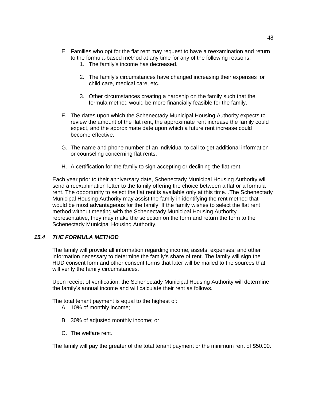- E. Families who opt for the flat rent may request to have a reexamination and return to the formula-based method at any time for any of the following reasons:
	- 1. The family's income has decreased.
	- 2. The family's circumstances have changed increasing their expenses for child care, medical care, etc.
	- 3. Other circumstances creating a hardship on the family such that the formula method would be more financially feasible for the family.
- F. The dates upon which the Schenectady Municipal Housing Authority expects to review the amount of the flat rent, the approximate rent increase the family could expect, and the approximate date upon which a future rent increase could become effective.
- G. The name and phone number of an individual to call to get additional information or counseling concerning flat rents.
- H. A certification for the family to sign accepting or declining the flat rent.

Each year prior to their anniversary date, Schenectady Municipal Housing Authority will send a reexamination letter to the family offering the choice between a flat or a formula rent. The opportunity to select the flat rent is available only at this time. .The Schenectady Municipal Housing Authority may assist the family in identifying the rent method that would be most advantageous for the family. If the family wishes to select the flat rent method without meeting with the Schenectady Municipal Housing Authority representative, they may make the selection on the form and return the form to the Schenectady Municipal Housing Authority.

## *15.4 THE FORMULA METHOD*

The family will provide all information regarding income, assets, expenses, and other information necessary to determine the family's share of rent. The family will sign the HUD consent form and other consent forms that later will be mailed to the sources that will verify the family circumstances.

Upon receipt of verification, the Schenectady Municipal Housing Authority will determine the family's annual income and will calculate their rent as follows.

The total tenant payment is equal to the highest of:

- A. 10% of monthly income;
- B. 30% of adjusted monthly income; or
- C. The welfare rent.

The family will pay the greater of the total tenant payment or the minimum rent of \$50.00.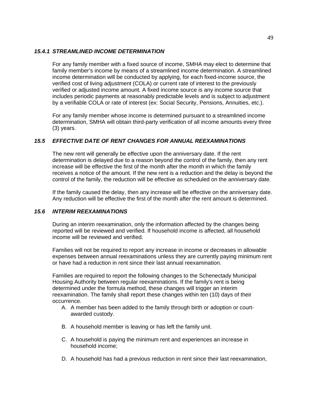### *15.4.1 STREAMLINED INCOME DETERMINATION*

For any family member with a fixed source of income, SMHA may elect to determine that family member's income by means of a streamlined income determination. A streamlined income determination will be conducted by applying, for each fixed-income source, the verified cost of living adjustment (COLA) or current rate of interest to the previously verified or adjusted income amount. A fixed income source is any income source that includes periodic payments at reasonably predictable levels and is subject to adjustment by a verifiable COLA or rate of interest (ex: Social Security, Pensions, Annuities, etc.).

For any family member whose income is determined pursuant to a streamlined income determination, SMHA will obtain third-party verification of all income amounts every three (3) years.

# *15.5 EFFECTIVE DATE OF RENT CHANGES FOR ANNUAL REEXAMINATIONS*

The new rent will generally be effective upon the anniversary date. If the rent determination is delayed due to a reason beyond the control of the family, then any rent increase will be effective the first of the month after the month in which the family receives a notice of the amount. If the new rent is a reduction and the delay is beyond the control of the family, the reduction will be effective as scheduled on the anniversary date.

If the family caused the delay, then any increase will be effective on the anniversary date. Any reduction will be effective the first of the month after the rent amount is determined.

## *15.6 INTERIM REEXAMINATIONS*

During an interim reexamination, only the information affected by the changes being reported will be reviewed and verified. If household income is affected, all household income will be reviewed and verified.

Families will not be required to report any increase in income or decreases in allowable expenses between annual reexaminations unless they are currently paying minimum rent or have had a reduction in rent since their last annual reexamination.

Families are required to report the following changes to the Schenectady Municipal Housing Authority between regular reexaminations. If the family's rent is being determined under the formula method, these changes will trigger an interim reexamination. The family shall report these changes within ten (10) days of their occurrence.

- A. A member has been added to the family through birth or adoption or courtawarded custody.
- B. A household member is leaving or has left the family unit.
- C. A household is paying the minimum rent and experiences an increase in household income;
- D. A household has had a previous reduction in rent since their last reexamination,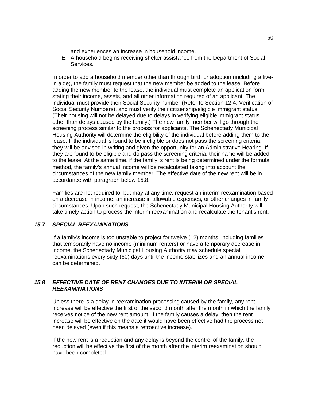and experiences an increase in household income.

E. A household begins receiving shelter assistance from the Department of Social Services.

In order to add a household member other than through birth or adoption (including a livein aide), the family must request that the new member be added to the lease. Before adding the new member to the lease, the individual must complete an application form stating their income, assets, and all other information required of an applicant. The individual must provide their Social Security number (Refer to Section 12.4, Verification of Social Security Numbers), and must verify their citizenship/eligible immigrant status. (Their housing will not be delayed due to delays in verifying eligible immigrant status other than delays caused by the family.) The new family member will go through the screening process similar to the process for applicants. The Schenectady Municipal Housing Authority will determine the eligibility of the individual before adding them to the lease. If the individual is found to be ineligible or does not pass the screening criteria, they will be advised in writing and given the opportunity for an Administrative Hearing. If they are found to be eligible and do pass the screening criteria, their name will be added to the lease. At the same time, if the family=s rent is being determined under the formula method, the family's annual income will be recalculated taking into account the circumstances of the new family member. The effective date of the new rent will be in accordance with paragraph below 15.8.

Families are not required to, but may at any time, request an interim reexamination based on a decrease in income, an increase in allowable expenses, or other changes in family circumstances. Upon such request, the Schenectady Municipal Housing Authority will take timely action to process the interim reexamination and recalculate the tenant's rent.

## *15.7 SPECIAL REEXAMINATIONS*

If a family's income is too unstable to project for twelve (12) months, including families that temporarily have no income (minimum renters) or have a temporary decrease in income, the Schenectady Municipal Housing Authority may schedule special reexaminations every sixty (60) days until the income stabilizes and an annual income can be determined.

### *15.8 EFFECTIVE DATE OF RENT CHANGES DUE TO INTERIM OR SPECIAL REEXAMINATIONS*

Unless there is a delay in reexamination processing caused by the family, any rent increase will be effective the first of the second month after the month in which the family receives notice of the new rent amount. If the family causes a delay, then the rent increase will be effective on the date it would have been effective had the process not been delayed (even if this means a retroactive increase).

If the new rent is a reduction and any delay is beyond the control of the family, the reduction will be effective the first of the month after the interim reexamination should have been completed.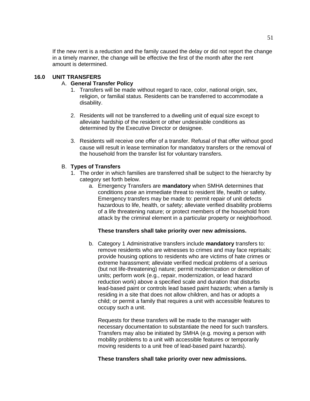If the new rent is a reduction and the family caused the delay or did not report the change in a timely manner, the change will be effective the first of the month after the rent amount is determined.

### **16.0 UNIT TRANSFERS**

### A. **General Transfer Policy**

- 1. Transfers will be made without regard to race, color, national origin, sex, religion, or familial status. Residents can be transferred to accommodate a disability.
- 2. Residents will not be transferred to a dwelling unit of equal size except to alleviate hardship of the resident or other undesirable conditions as determined by the Executive Director or designee.
- 3. Residents will receive one offer of a transfer. Refusal of that offer without good cause will result in lease termination for mandatory transfers or the removal of the household from the transfer list for voluntary transfers.

### B. **Types of Transfers**

- 1. The order in which families are transferred shall be subject to the hierarchy by category set forth below.
	- a. Emergency Transfers are **mandatory** when SMHA determines that conditions pose an immediate threat to resident life, health or safety. Emergency transfers may be made to: permit repair of unit defects hazardous to life, health, or safety; alleviate verified disability problems of a life threatening nature; or protect members of the household from attack by the criminal element in a particular property or neighborhood.

## **These transfers shall take priority over new admissions.**

b. Category 1 Administrative transfers include **mandatory** transfers to: remove residents who are witnesses to crimes and may face reprisals; provide housing options to residents who are victims of hate crimes or extreme harassment; alleviate verified medical problems of a serious (but not life-threatening) nature; permit modernization or demolition of units; perform work (e.g., repair, modernization, or lead hazard reduction work) above a specified scale and duration that disturbs lead-based paint or controls lead based paint hazards; when a family is residing in a site that does not allow children, and has or adopts a child; or permit a family that requires a unit with accessible features to occupy such a unit.

Requests for these transfers will be made to the manager with necessary documentation to substantiate the need for such transfers. Transfers may also be initiated by SMHA (e.g. moving a person with mobility problems to a unit with accessible features or temporarily moving residents to a unit free of lead-based paint hazards).

### **These transfers shall take priority over new admissions.**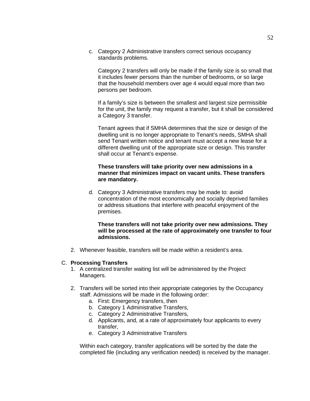c. Category 2 Administrative transfers correct serious occupancy standards problems.

Category 2 transfers will only be made if the family size is so small that it includes fewer persons than the number of bedrooms, or so large that the household members over age 4 would equal more than two persons per bedroom.

If a family's size is between the smallest and largest size permissible for the unit, the family may request a transfer, but it shall be considered a Category 3 transfer.

Tenant agrees that if SMHA determines that the size or design of the dwelling unit is no longer appropriate to Tenant's needs, SMHA shall send Tenant written notice and tenant must accept a new lease for a different dwelling unit of the appropriate size or design. This transfer shall occur at Tenant's expense.

### **These transfers will take priority over new admissions in a manner that minimizes impact on vacant units. These transfers are mandatory.**

d. Category 3 Administrative transfers may be made to: avoid concentration of the most economically and socially deprived families or address situations that interfere with peaceful enjoyment of the premises.

### **These transfers will not take priority over new admissions. They will be processed at the rate of approximately one transfer to four admissions.**

2. Whenever feasible, transfers will be made within a resident's area.

### C. **Processing Transfers**

- 1. A centralized transfer waiting list will be administered by the Project Managers.
- 2. Transfers will be sorted into their appropriate categories by the Occupancy staff. Admissions will be made in the following order:
	- a. First: Emergency transfers, then
	- b. Category 1 Administrative Transfers,
	- c. Category 2 Administrative Transfers,
	- d. Applicants, and, at a rate of approximately four applicants to every transfer,
	- e. Category 3 Administrative Transfers

Within each category, transfer applications will be sorted by the date the completed file (including any verification needed) is received by the manager.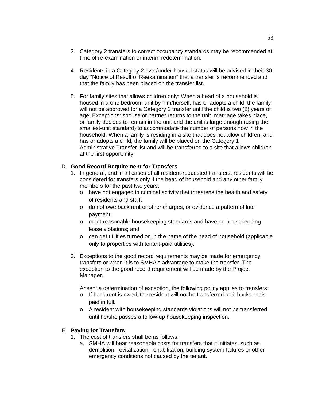- 3. Category 2 transfers to correct occupancy standards may be recommended at time of re-examination or interim redetermination.
- 4. Residents in a Category 2 over/under housed status will be advised in their 30 day "Notice of Result of Reexamination" that a transfer is recommended and that the family has been placed on the transfer list.
- 5. For family sites that allows children only: When a head of a household is housed in a one bedroom unit by him/herself, has or adopts a child, the family will not be approved for a Category 2 transfer until the child is two (2) years of age. Exceptions: spouse or partner returns to the unit, marriage takes place, or family decides to remain in the unit and the unit is large enough (using the smallest-unit standard) to accommodate the number of persons now in the household. When a family is residing in a site that does not allow children, and has or adopts a child, the family will be placed on the Category 1 Administrative Transfer list and will be transferred to a site that allows children at the first opportunity.

### D. **Good Record Requirement for Transfers**

- 1. In general, and in all cases of all resident-requested transfers, residents will be considered for transfers only if the head of household and any other family members for the past two years:
	- o have not engaged in criminal activity that threatens the health and safety of residents and staff;
	- o do not owe back rent or other charges, or evidence a pattern of late payment;
	- o meet reasonable housekeeping standards and have no housekeeping lease violations; and
	- o can get utilities turned on in the name of the head of household (applicable only to properties with tenant-paid utilities).
- 2. Exceptions to the good record requirements may be made for emergency transfers or when it is to SMHA's advantage to make the transfer. The exception to the good record requirement will be made by the Project Manager.

Absent a determination of exception, the following policy applies to transfers:

- o If back rent is owed, the resident will not be transferred until back rent is paid in full.
- o A resident with housekeeping standards violations will not be transferred until he/she passes a follow-up housekeeping inspection.

### E. **Paying for Transfers**

- 1. The cost of transfers shall be as follows:
	- a. SMHA will bear reasonable costs for transfers that it initiates, such as demolition, revitalization, rehabilitation, building system failures or other emergency conditions not caused by the tenant.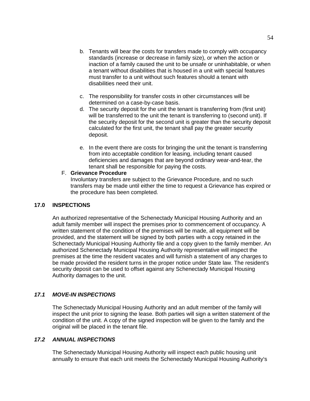- b. Tenants will bear the costs for transfers made to comply with occupancy standards (increase or decrease in family size), or when the action or inaction of a family caused the unit to be unsafe or uninhabitable, or when a tenant without disabilities that is housed in a unit with special features must transfer to a unit without such features should a tenant with disabilities need their unit.
- c. The responsibility for transfer costs in other circumstances will be determined on a case-by-case basis.
- d. The security deposit for the unit the tenant is transferring from (first unit) will be transferred to the unit the tenant is transferring to (second unit). If the security deposit for the second unit is greater than the security deposit calculated for the first unit, the tenant shall pay the greater security deposit.
- e. In the event there are costs for bringing the unit the tenant is transferring from into acceptable condition for leasing, including tenant caused deficiencies and damages that are beyond ordinary wear-and-tear, the tenant shall be responsible for paying the costs.

### F. **Grievance Procedure**

Involuntary transfers are subject to the Grievance Procedure, and no such transfers may be made until either the time to request a Grievance has expired or the procedure has been completed.

## **17.0 INSPECTIONS**

An authorized representative of the Schenectady Municipal Housing Authority and an adult family member will inspect the premises prior to commencement of occupancy. A written statement of the condition of the premises will be made, all equipment will be provided, and the statement will be signed by both parties with a copy retained in the Schenectady Municipal Housing Authority file and a copy given to the family member. An authorized Schenectady Municipal Housing Authority representative will inspect the premises at the time the resident vacates and will furnish a statement of any charges to be made provided the resident turns in the proper notice under State law. The resident's security deposit can be used to offset against any Schenectady Municipal Housing Authority damages to the unit.

# *17.1 MOVE-IN INSPECTIONS*

The Schenectady Municipal Housing Authority and an adult member of the family will inspect the unit prior to signing the lease. Both parties will sign a written statement of the condition of the unit. A copy of the signed inspection will be given to the family and the original will be placed in the tenant file.

## *17.2 ANNUAL INSPECTIONS*

The Schenectady Municipal Housing Authority will inspect each public housing unit annually to ensure that each unit meets the Schenectady Municipal Housing Authority's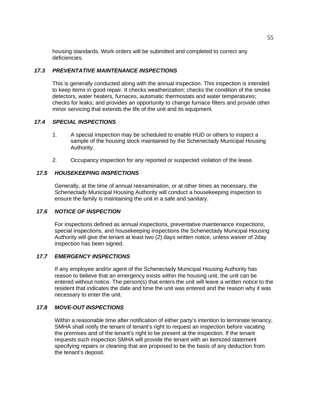housing standards. Work orders will be submitted and completed to correct any deficiencies.

## *17.3 PREVENTATIVE MAINTENANCE INSPECTIONS*

This is generally conducted along with the annual inspection. This inspection is intended to keep items in good repair. It checks weatherization; checks the condition of the smoke detectors, water heaters, furnaces, automatic thermostats and water temperatures; checks for leaks; and provides an opportunity to change furnace filters and provide other minor servicing that extends the life of the unit and its equipment.

### *17.4 SPECIAL INSPECTIONS*

- 1. A special inspection may be scheduled to enable HUD or others to inspect a sample of the housing stock maintained by the Schenectady Municipal Housing Authority.
- 2. Occupancy inspection for any reported or suspected violation of the lease.

## *17.5 HOUSEKEEPING INSPECTIONS*

Generally, at the time of annual reexamination, or at other times as necessary, the Schenectady Municipal Housing Authority will conduct a housekeeping inspection to ensure the family is maintaining the unit in a safe and sanitary.

### *17.6 NOTICE OF INSPECTION*

For inspections defined as annual inspections, preventative maintenance inspections, special inspections, and housekeeping inspections the Schenectady Municipal Housing Authority will give the tenant at least two (2) days written notice, unless waiver of 2day inspection has been signed.

## *17.7 EMERGENCY INSPECTIONS*

If any employee and/or agent of the Schenectady Municipal Housing Authority has reason to believe that an emergency exists within the housing unit, the unit can be entered without notice. The person(s) that enters the unit will leave a written notice to the resident that indicates the date and time the unit was entered and the reason why it was necessary to enter the unit.

## *17.8 MOVE-OUT INSPECTIONS*

Within a reasonable time after notification of either party's intention to terminate tenancy, SMHA shall notify the tenant of tenant's right to request an inspection before vacating the premises and of the tenant's right to be present at the inspection. If the tenant requests such inspection SMHA will provide the tenant with an itemized statement specifying repairs or cleaning that are proposed to be the basis of any deduction from the tenant's deposit.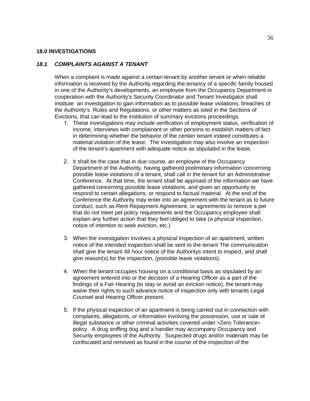#### **18.0 INVESTIGATIONS**

## *18.1 COMPLAINTS AGAINST A TENANT*

When a complaint is made against a certain tenant by another tenant or when reliable information is received by the Authority regarding the tenancy of a specific family housed in one of the Authority's developments, an employee from the Occupancy Department in cooperation with the Authority's Security Coordinator and Tenant Investigator shall institute an investigation to gain information as to possible lease violations, breaches of the Authority's Rules and Regulations, or other matters as sited in the Sections of Evictions, that can lead to the institution of summary evictions proceedings.

- 1. These investigations may include verification of employment status, verification of income, interviews with complainant or other persons to establish matters of fact in determining whether the behavior of the certain tenant indeed constitutes a material violation of the lease. The investigation may also involve an inspection of the tenant's apartment with adequate notice as stipulated in the lease.
- 2. It shall be the case that in due course, an employee of the Occupancy Department of the Authority, having gathered preliminary information concerning possible lease violations of a tenant, shall call in the tenant for an Administrative Conference. At that time, the tenant shall be apprised of the information we have gathered concerning possible lease violations, and given an opportunity to respond to certain allegations, or respond to factual material. At the end of the Conference the Authority may enter into an agreement with the tenant as to future conduct, such as Rent Repayment Agreement, or agreements to remove a pet that do not meet pet policy requirements and the Occupancy employee shall explain any further action that they feel obliged to take (a physical inspection, notice of intention to seek eviction, etc.)
- 3. When the investigation involves a physical inspection of an apartment, written notice of the intended inspection shall be sent to the tenant The communication shall give the tenant 48 hour notice of the Authoritys intent to inspect, and shall give reason(s) for the inspection, (possible lease violations).
- 4. When the tenant occupies housing on a conditional basis as stipulated by an agreement entered into or the decision of a Hearing Officer as a part of the findings of a Fair Hearing (to stay or avoid an eviction notice), the tenant may waive their rights to such advance notice of inspection only with tenants Legal Counsel and Hearing Officer present.
- 5. If the physical inspection of an apartment is being carried out in connection with complaints, allegations, or information involving the possession, use or sale of illegal substance or other criminal activities covered under >Zero Tolerance= policy. A drug sniffing dog and a handler may accompany Occupancy and Security employees of the Authority. Suspected drugs and/or materials may be confiscated and removed as found in the course of the inspection of the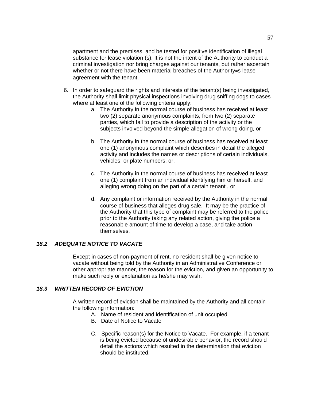apartment and the premises, and be tested for positive identification of illegal substance for lease violation (s). It is not the intent of the Authority to conduct a criminal investigation nor bring charges against our tenants, but rather ascertain whether or not there have been material breaches of the Authority=s lease agreement with the tenant.

- 6. In order to safeguard the rights and interests of the tenant(s) being investigated, the Authority shall limit physical inspections involving drug sniffing dogs to cases where at least one of the following criteria apply:
	- a. The Authority in the normal course of business has received at least two (2) separate anonymous complaints, from two (2) separate parties, which fail to provide a description of the activity or the subjects involved beyond the simple allegation of wrong doing, or
	- b. The Authority in the normal course of business has received at least one (1) anonymous complaint which describes in detail the alleged activity and includes the names or descriptions of certain individuals, vehicles, or plate numbers, or,
	- c. The Authority in the normal course of business has received at least one (1) complaint from an individual identifying him or herself, and alleging wrong doing on the part of a certain tenant , or
	- d. Any complaint or information received by the Authority in the normal course of business that alleges drug sale. It may be the practice of the Authority that this type of complaint may be referred to the police prior to the Authority taking any related action, giving the police a reasonable amount of time to develop a case, and take action themselves.

### *18.2 ADEQUATE NOTICE TO VACATE*

Except in cases of non-payment of rent, no resident shall be given notice to vacate without being told by the Authority in an Administrative Conference or other appropriate manner, the reason for the eviction, and given an opportunity to make such reply or explanation as he/she may wish.

### *18.3 WRITTEN RECORD OF EVICTION*

A written record of eviction shall be maintained by the Authority and all contain the following information:

- A. Name of resident and identification of unit occupied
- B. Date of Notice to Vacate
- C. Specific reason(s) for the Notice to Vacate. For example, if a tenant is being evicted because of undesirable behavior, the record should detail the actions which resulted in the determination that eviction should be instituted.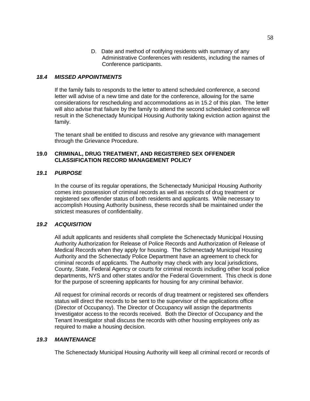D. Date and method of notifying residents with summary of any Administrative Conferences with residents, including the names of Conference participants.

### *18.4 MISSED APPOINTMENTS*

If the family fails to responds to the letter to attend scheduled conference, a second letter will advise of a new time and date for the conference, allowing for the same considerations for rescheduling and accommodations as in 15.2 of this plan. The letter will also advise that failure by the family to attend the second scheduled conference will result in the Schenectady Municipal Housing Authority taking eviction action against the family.

The tenant shall be entitled to discuss and resolve any grievance with management through the Grievance Procedure.

### **19.0 CRIMINAL, DRUG TREATMENT, AND REGISTERED SEX OFFENDER CLASSIFICATION RECORD MANAGEMENT POLICY**

### *19.1 PURPOSE*

In the course of its regular operations, the Schenectady Municipal Housing Authority comes into possession of criminal records as well as records of drug treatment or registered sex offender status of both residents and applicants. While necessary to accomplish Housing Authority business, these records shall be maintained under the strictest measures of confidentiality.

### *19.2 ACQUISITION*

All adult applicants and residents shall complete the Schenectady Municipal Housing Authority Authorization for Release of Police Records and Authorization of Release of Medical Records when they apply for housing. The Schenectady Municipal Housing Authority and the Schenectady Police Department have an agreement to check for criminal records of applicants. The Authority may check with any local jurisdictions, County, State, Federal Agency or courts for criminal records including other local police departments, NYS and other states and/or the Federal Government. This check is done for the purpose of screening applicants for housing for any criminal behavior.

All request for criminal records or records of drug treatment or registered sex offenders status will direct the records to be sent to the supervisor of the applications office (Director of Occupancy). The Director of Occupancy will assign the departments Investigator access to the records received. Both the Director of Occupancy and the Tenant Investigator shall discuss the records with other housing employees only as required to make a housing decision.

### *19.3 MAINTENANCE*

The Schenectady Municipal Housing Authority will keep all criminal record or records of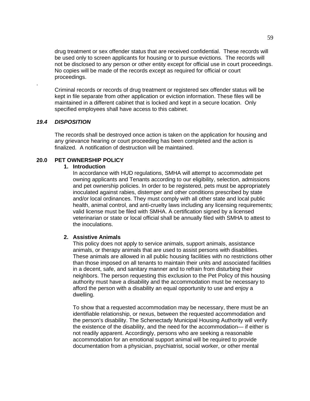drug treatment or sex offender status that are received confidential. These records will be used only to screen applicants for housing or to pursue evictions. The records will not be disclosed to any person or other entity except for official use in court proceedings. No copies will be made of the records except as required for official or court proceedings.

Criminal records or records of drug treatment or registered sex offender status will be kept in file separate from other application or eviction information. These files will be maintained in a different cabinet that is locked and kept in a secure location. Only specified employees shall have access to this cabinet.

#### *19.4 DISPOSITION*

.

The records shall be destroyed once action is taken on the application for housing and any grievance hearing or court proceeding has been completed and the action is finalized. A notification of destruction will be maintained.

## **20.0 PET OWNERSHIP POLICY**

#### **1. Introduction**

In accordance with HUD regulations, SMHA will attempt to accommodate pet owning applicants and Tenants according to our eligibility, selection, admissions and pet ownership policies. In order to be registered, pets must be appropriately inoculated against rabies, distemper and other conditions prescribed by state and/or local ordinances. They must comply with all other state and local public health, animal control, and anti-cruelty laws including any licensing requirements; valid license must be filed with SMHA. A certification signed by a licensed veterinarian or state or local official shall be annually filed with SMHA to attest to the inoculations.

#### **2. Assistive Animals**

This policy does not apply to service animals, support animals, assistance animals, or therapy animals that are used to assist persons with disabilities. These animals are allowed in all public housing facilities with no restrictions other than those imposed on all tenants to maintain their units and associated facilities in a decent, safe, and sanitary manner and to refrain from disturbing their neighbors. The person requesting this exclusion to the Pet Policy of this housing authority must have a disability and the accommodation must be necessary to afford the person with a disability an equal opportunity to use and enjoy a dwelling.

To show that a requested accommodation may be necessary, there must be an identifiable relationship, or nexus, between the requested accommodation and the person's disability. The Schenectady Municipal Housing Authority will verify the existence of the disability, and the need for the accommodation— if either is not readily apparent. Accordingly, persons who are seeking a reasonable accommodation for an emotional support animal will be required to provide documentation from a physician, psychiatrist, social worker, or other mental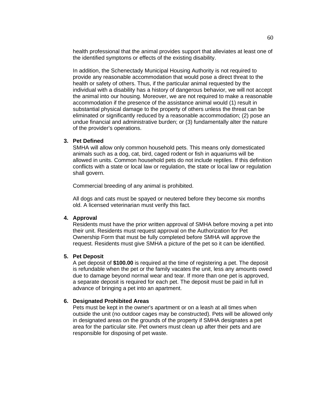health professional that the animal provides support that alleviates at least one of the identified symptoms or effects of the existing disability.

In addition, the Schenectady Municipal Housing Authority is not required to provide any reasonable accommodation that would pose a direct threat to the health or safety of others. Thus, if the particular animal requested by the individual with a disability has a history of dangerous behavior, we will not accept the animal into our housing. Moreover, we are not required to make a reasonable accommodation if the presence of the assistance animal would (1) result in substantial physical damage to the property of others unless the threat can be eliminated or significantly reduced by a reasonable accommodation; (2) pose an undue financial and administrative burden; or (3) fundamentally alter the nature of the provider's operations.

#### **3. Pet Defined**

SMHA will allow only common household pets. This means only domesticated animals such as a dog, cat, bird, caged rodent or fish in aquariums will be allowed in units. Common household pets do not include reptiles. If this definition conflicts with a state or local law or regulation, the state or local law or regulation shall govern.

Commercial breeding of any animal is prohibited.

All dogs and cats must be spayed or neutered before they become six months old. A licensed veterinarian must verify this fact.

#### **4. Approval**

Residents must have the prior written approval of SMHA before moving a pet into their unit. Residents must request approval on the Authorization for Pet Ownership Form that must be fully completed before SMHA will approve the request. Residents must give SMHA a picture of the pet so it can be identified.

#### **5. Pet Deposit**

A pet deposit of **\$100.00** is required at the time of registering a pet. The deposit is refundable when the pet or the family vacates the unit, less any amounts owed due to damage beyond normal wear and tear. If more than one pet is approved, a separate deposit is required for each pet. The deposit must be paid in full in advance of bringing a pet into an apartment.

#### **6. Designated Prohibited Areas**

Pets must be kept in the owner's apartment or on a leash at all times when outside the unit (no outdoor cages may be constructed). Pets will be allowed only in designated areas on the grounds of the property if SMHA designates a pet area for the particular site. Pet owners must clean up after their pets and are responsible for disposing of pet waste.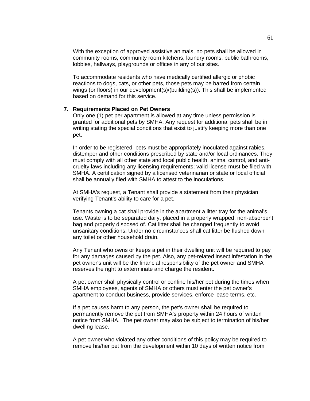With the exception of approved assistive animals, no pets shall be allowed in community rooms, community room kitchens, laundry rooms, public bathrooms, lobbies, hallways, playgrounds or offices in any of our sites.

To accommodate residents who have medically certified allergic or phobic reactions to dogs, cats, or other pets, those pets may be barred from certain wings (or floors) in our development(s)/(building(s)). This shall be implemented based on demand for this service.

#### **7. Requirements Placed on Pet Owners**

Only one (1) pet per apartment is allowed at any time unless permission is granted for additional pets by SMHA. Any request for additional pets shall be in writing stating the special conditions that exist to justify keeping more than one pet.

In order to be registered, pets must be appropriately inoculated against rabies, distemper and other conditions prescribed by state and/or local ordinances. They must comply with all other state and local public health, animal control, and anticruelty laws including any licensing requirements; valid license must be filed with SMHA. A certification signed by a licensed veterinarian or state or local official shall be annually filed with SMHA to attest to the inoculations.

At SMHA's request, a Tenant shall provide a statement from their physician verifying Tenant's ability to care for a pet.

Tenants owning a cat shall provide in the apartment a litter tray for the animal's use. Waste is to be separated daily, placed in a properly wrapped, non-absorbent bag and properly disposed of. Cat litter shall be changed frequently to avoid unsanitary conditions. Under no circumstances shall cat litter be flushed down any toilet or other household drain.

Any Tenant who owns or keeps a pet in their dwelling unit will be required to pay for any damages caused by the pet. Also, any pet-related insect infestation in the pet owner's unit will be the financial responsibility of the pet owner and SMHA reserves the right to exterminate and charge the resident.

A pet owner shall physically control or confine his/her pet during the times when SMHA employees, agents of SMHA or others must enter the pet owner's apartment to conduct business, provide services, enforce lease terms, etc.

If a pet causes harm to any person, the pet's owner shall be required to permanently remove the pet from SMHA's property within 24 hours of written notice from SMHA. The pet owner may also be subject to termination of his/her dwelling lease.

A pet owner who violated any other conditions of this policy may be required to remove his/her pet from the development within 10 days of written notice from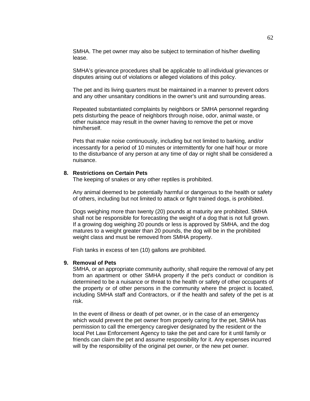SMHA. The pet owner may also be subject to termination of his/her dwelling lease.

SMHA's grievance procedures shall be applicable to all individual grievances or disputes arising out of violations or alleged violations of this policy.

The pet and its living quarters must be maintained in a manner to prevent odors and any other unsanitary conditions in the owner's unit and surrounding areas.

Repeated substantiated complaints by neighbors or SMHA personnel regarding pets disturbing the peace of neighbors through noise, odor, animal waste, or other nuisance may result in the owner having to remove the pet or move him/herself.

Pets that make noise continuously, including but not limited to barking, and/or incessantly for a period of 10 minutes or intermittently for one half hour or more to the disturbance of any person at any time of day or night shall be considered a nuisance.

#### **8. Restrictions on Certain Pets**

The keeping of snakes or any other reptiles is prohibited.

Any animal deemed to be potentially harmful or dangerous to the health or safety of others, including but not limited to attack or fight trained dogs, is prohibited.

Dogs weighing more than twenty (20) pounds at maturity are prohibited. SMHA shall not be responsible for forecasting the weight of a dog that is not full grown. If a growing dog weighing 20 pounds or less is approved by SMHA, and the dog matures to a weight greater than 20 pounds, the dog will be in the prohibited weight class and must be removed from SMHA property.

Fish tanks in excess of ten (10) gallons are prohibited.

#### **9. Removal of Pets**

SMHA, or an appropriate community authority, shall require the removal of any pet from an apartment or other SMHA property if the pet's conduct or condition is determined to be a nuisance or threat to the health or safety of other occupants of the property or of other persons in the community where the project is located, including SMHA staff and Contractors, or if the health and safety of the pet is at risk.

In the event of illness or death of pet owner, or in the case of an emergency which would prevent the pet owner from properly caring for the pet, SMHA has permission to call the emergency caregiver designated by the resident or the local Pet Law Enforcement Agency to take the pet and care for it until family or friends can claim the pet and assume responsibility for it. Any expenses incurred will by the responsibility of the original pet owner, or the new pet owner.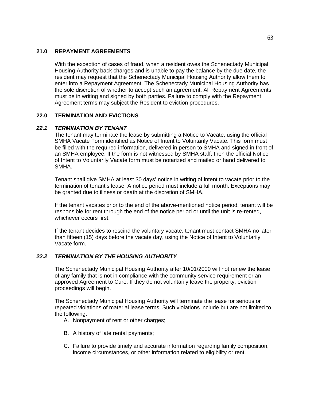### **21.0 REPAYMENT AGREEMENTS**

With the exception of cases of fraud, when a resident owes the Schenectady Municipal Housing Authority back charges and is unable to pay the balance by the due date, the resident may request that the Schenectady Municipal Housing Authority allow them to enter into a Repayment Agreement. The Schenectady Municipal Housing Authority has the sole discretion of whether to accept such an agreement. All Repayment Agreements must be in writing and signed by both parties. Failure to comply with the Repayment Agreement terms may subject the Resident to eviction procedures.

### **22.0 TERMINATION AND EVICTIONS**

### *22.1 TERMINATION BY TENANT*

The tenant may terminate the lease by submitting a Notice to Vacate, using the official SMHA Vacate Form identified as Notice of Intent to Voluntarily Vacate. This form must be filled with the required information, delivered in person to SMHA and signed in front of an SMHA employee. If the form is not witnessed by SMHA staff, then the official Notice of Intent to Voluntarily Vacate form must be notarized and mailed or hand delivered to SMHA.

Tenant shall give SMHA at least 30 days' notice in writing of intent to vacate prior to the termination of tenant's lease. A notice period must include a full month. Exceptions may be granted due to illness or death at the discretion of SMHA.

If the tenant vacates prior to the end of the above-mentioned notice period, tenant will be responsible for rent through the end of the notice period or until the unit is re-rented, whichever occurs first.

If the tenant decides to rescind the voluntary vacate, tenant must contact SMHA no later than fifteen (15) days before the vacate day, using the Notice of Intent to Voluntarily Vacate form.

## *22.2 TERMINATION BY THE HOUSING AUTHORITY*

The Schenectady Municipal Housing Authority after 10/01/2000 will not renew the lease of any family that is not in compliance with the community service requirement or an approved Agreement to Cure. If they do not voluntarily leave the property, eviction proceedings will begin.

The Schenectady Municipal Housing Authority will terminate the lease for serious or repeated violations of material lease terms. Such violations include but are not limited to the following:

A. Nonpayment of rent or other charges;

- B. A history of late rental payments;
- C. Failure to provide timely and accurate information regarding family composition, income circumstances, or other information related to eligibility or rent.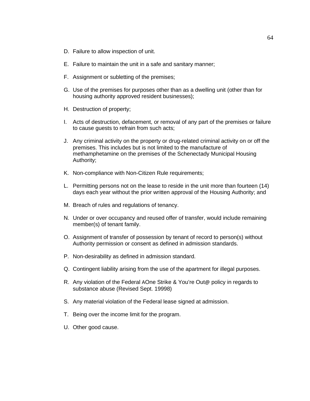- D. Failure to allow inspection of unit.
- E. Failure to maintain the unit in a safe and sanitary manner;
- F. Assignment or subletting of the premises;
- G. Use of the premises for purposes other than as a dwelling unit (other than for housing authority approved resident businesses);
- H. Destruction of property;
- I. Acts of destruction, defacement, or removal of any part of the premises or failure to cause guests to refrain from such acts;
- J. Any criminal activity on the property or drug-related criminal activity on or off the premises. This includes but is not limited to the manufacture of methamphetamine on the premises of the Schenectady Municipal Housing Authority;
- K. Non-compliance with Non-Citizen Rule requirements;
- L. Permitting persons not on the lease to reside in the unit more than fourteen (14) days each year without the prior written approval of the Housing Authority; and
- M. Breach of rules and regulations of tenancy.
- N. Under or over occupancy and reused offer of transfer, would include remaining member(s) of tenant family.
- O. Assignment of transfer of possession by tenant of record to person(s) without Authority permission or consent as defined in admission standards.
- P. Non-desirability as defined in admission standard.
- Q. Contingent liability arising from the use of the apartment for illegal purposes.
- R. Any violation of the Federal AOne Strike & You're Out@ policy in regards to substance abuse (Revised Sept. 19998)
- S. Any material violation of the Federal lease signed at admission.
- T. Being over the income limit for the program.
- U. Other good cause.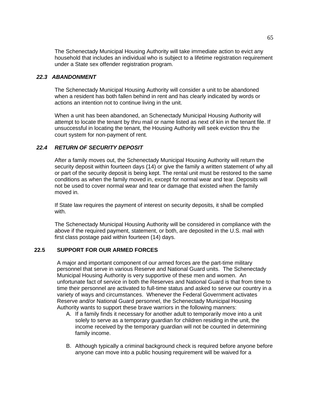The Schenectady Municipal Housing Authority will take immediate action to evict any household that includes an individual who is subject to a lifetime registration requirement under a State sex offender registration program.

### *22.3 ABANDONMENT*

The Schenectady Municipal Housing Authority will consider a unit to be abandoned when a resident has both fallen behind in rent and has clearly indicated by words or actions an intention not to continue living in the unit.

When a unit has been abandoned, an Schenectady Municipal Housing Authority will attempt to locate the tenant by thru mail or name listed as next of kin in the tenant file. If unsuccessful in locating the tenant, the Housing Authority will seek eviction thru the court system for non-payment of rent.

# *22.4 RETURN OF SECURITY DEPOSIT*

After a family moves out, the Schenectady Municipal Housing Authority will return the security deposit within fourteen days (14) or give the family a written statement of why all or part of the security deposit is being kept. The rental unit must be restored to the same conditions as when the family moved in, except for normal wear and tear. Deposits will not be used to cover normal wear and tear or damage that existed when the family moved in.

If State law requires the payment of interest on security deposits, it shall be complied with.

The Schenectady Municipal Housing Authority will be considered in compliance with the above if the required payment, statement, or both, are deposited in the U.S. mail with first class postage paid within fourteen (14) days.

## **22.5 SUPPORT FOR OUR ARMED FORCES**

A major and important component of our armed forces are the part-time military personnel that serve in various Reserve and National Guard units. The Schenectady Municipal Housing Authority is very supportive of these men and women. An unfortunate fact of service in both the Reserves and National Guard is that from time to time their personnel are activated to full-time status and asked to serve our country in a variety of ways and circumstances. Whenever the Federal Government activates Reserve and/or National Guard personnel, the Schenectady Municipal Housing Authority wants to support these brave warriors in the following manners:

- A. If a family finds it necessary for another adult to temporarily move into a unit solely to serve as a temporary guardian for children residing in the unit, the income received by the temporary guardian will not be counted in determining family income.
- B. Although typically a criminal background check is required before anyone before anyone can move into a public housing requirement will be waived for a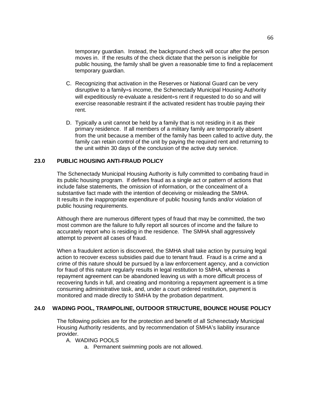temporary guardian. Instead, the background check will occur after the person moves in. If the results of the check dictate that the person is ineligible for public housing, the family shall be given a reasonable time to find a replacement temporary guardian.

- C. Recognizing that activation in the Reserves or National Guard can be very disruptive to a family=s income, the Schenectady Municipal Housing Authority will expeditiously re-evaluate a resident=s rent if requested to do so and will exercise reasonable restraint if the activated resident has trouble paying their rent.
- D. Typically a unit cannot be held by a family that is not residing in it as their primary residence. If all members of a military family are temporarily absent from the unit because a member of the family has been called to active duty, the family can retain control of the unit by paying the required rent and returning to the unit within 30 days of the conclusion of the active duty service.

### **23.0 PUBLIC HOUSING ANTI-FRAUD POLICY**

The Schenectady Municipal Housing Authority is fully committed to combating fraud in its public housing program. If defines fraud as a single act or pattern of actions that include false statements, the omission of information, or the concealment of a substantive fact made with the intention of deceiving or misleading the SMHA. It results in the inappropriate expenditure of public housing funds and/or violation of public housing requirements.

Although there are numerous different types of fraud that may be committed, the two most common are the failure to fully report all sources of income and the failure to accurately report who is residing in the residence. The SMHA shall aggressively attempt to prevent all cases of fraud.

When a fraudulent action is discovered, the SMHA shall take action by pursuing legal action to recover excess subsidies paid due to tenant fraud. Fraud is a crime and a crime of this nature should be pursued by a law enforcement agency, and a conviction for fraud of this nature regularly results in legal restitution to SMHA, whereas a repayment agreement can be abandoned leaving us with a more difficult process of recovering funds in full, and creating and monitoring a repayment agreement is a time consuming administrative task, and, under a court ordered restitution, payment is monitored and made directly to SMHA by the probation department.

#### **24.0 WADING POOL, TRAMPOLINE, OUTDOOR STRUCTURE, BOUNCE HOUSE POLICY**

The following policies are for the protection and benefit of all Schenectady Municipal Housing Authority residents, and by recommendation of SMHA's liability insurance provider.

A. WADING POOLS

a. Permanent swimming pools are not allowed.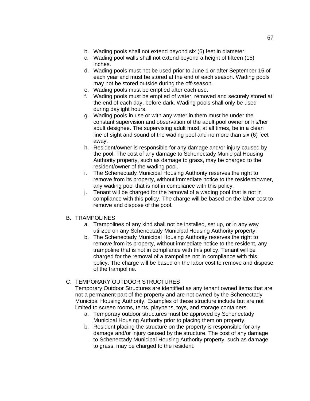- b. Wading pools shall not extend beyond six (6) feet in diameter.
- c. Wading pool walls shall not extend beyond a height of fifteen (15) inches.
- d. Wading pools must not be used prior to June 1 or after September 15 of each year and must be stored at the end of each season. Wading pools may not be stored outside during the off-season.
- e. Wading pools must be emptied after each use.
- f. Wading pools must be emptied of water, removed and securely stored at the end of each day, before dark. Wading pools shall only be used during daylight hours.
- g. Wading pools in use or with any water in them must be under the constant supervision and observation of the adult pool owner or his/her adult designee. The supervising adult must, at all times, be in a clean line of sight and sound of the wading pool and no more than six (6) feet away.
- h. Resident/owner is responsible for any damage and/or injury caused by the pool. The cost of any damage to Schenectady Municipal Housing Authority property, such as damage to grass, may be charged to the resident/owner of the wading pool.
- i. The Schenectady Municipal Housing Authority reserves the right to remove from its property, without immediate notice to the resident/owner, any wading pool that is not in compliance with this policy.
- j. Tenant will be charged for the removal of a wading pool that is not in compliance with this policy. The charge will be based on the labor cost to remove and dispose of the pool.

## B. TRAMPOLINES

- a. Trampolines of any kind shall not be installed, set up, or in any way utilized on any Schenectady Municipal Housing Authority property.
- b. The Schenectady Municipal Housing Authority reserves the right to remove from its property, without immediate notice to the resident, any trampoline that is not in compliance with this policy. Tenant will be charged for the removal of a trampoline not in compliance with this policy. The charge will be based on the labor cost to remove and dispose of the trampoline.

## C. TEMPORARY OUTDOOR STRUCTURES

Temporary Outdoor Structures are identified as any tenant owned items that are not a permanent part of the property and are not owned by the Schenectady Municipal Housing Authority. Examples of these structure include but are not limited to screen rooms, tents, playpens, toys, and storage containers.

- a. Temporary outdoor structures must be approved by Schenectady Municipal Housing Authority prior to placing them on property.
- b. Resident placing the structure on the property is responsible for any damage and/or injury caused by the structure. The cost of any damage to Schenectady Municipal Housing Authority property, such as damage to grass, may be charged to the resident.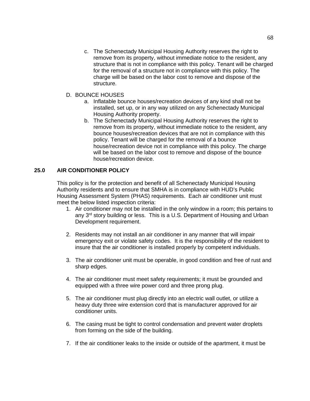c. The Schenectady Municipal Housing Authority reserves the right to remove from its property, without immediate notice to the resident, any structure that is not in compliance with this policy. Tenant will be charged for the removal of a structure not in compliance with this policy. The charge will be based on the labor cost to remove and dispose of the structure.

### D. BOUNCE HOUSES

- a. Inflatable bounce houses/recreation devices of any kind shall not be installed, set up, or in any way utilized on any Schenectady Municipal Housing Authority property.
- b. The Schenectady Municipal Housing Authority reserves the right to remove from its property, without immediate notice to the resident, any bounce houses/recreation devices that are not in compliance with this policy. Tenant will be charged for the removal of a bounce house/recreation device not in compliance with this policy. The charge will be based on the labor cost to remove and dispose of the bounce house/recreation device.

## **25.0 AIR CONDITIONER POLICY**

This policy is for the protection and benefit of all Schenectady Municipal Housing Authority residents and to ensure that SMHA is in compliance with HUD's Public Housing Assessment System (PHAS) requirements. Each air conditioner unit must meet the below listed inspection criteria:

- 1. Air conditioner may not be installed in the only window in a room; this pertains to any  $3<sup>rd</sup>$  story building or less. This is a U.S. Department of Housing and Urban Development requirement.
- 2. Residents may not install an air conditioner in any manner that will impair emergency exit or violate safety codes. It is the responsibility of the resident to insure that the air conditioner is installed properly by competent individuals.
- 3. The air conditioner unit must be operable, in good condition and free of rust and sharp edges.
- 4. The air conditioner must meet safety requirements; it must be grounded and equipped with a three wire power cord and three prong plug.
- 5. The air conditioner must plug directly into an electric wall outlet, or utilize a heavy duty three wire extension cord that is manufacturer approved for air conditioner units.
- 6. The casing must be tight to control condensation and prevent water droplets from forming on the side of the building.
- 7. If the air conditioner leaks to the inside or outside of the apartment, it must be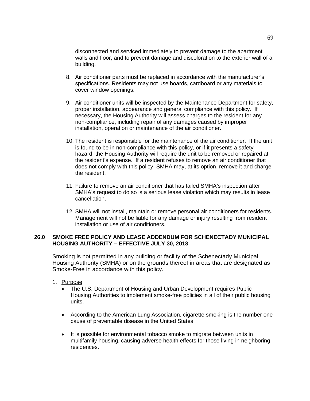disconnected and serviced immediately to prevent damage to the apartment walls and floor, and to prevent damage and discoloration to the exterior wall of a building.

- 8. Air conditioner parts must be replaced in accordance with the manufacturer's specifications. Residents may not use boards, cardboard or any materials to cover window openings.
- 9. Air conditioner units will be inspected by the Maintenance Department for safety, proper installation, appearance and general compliance with this policy. If necessary, the Housing Authority will assess charges to the resident for any non-compliance, including repair of any damages caused by improper installation, operation or maintenance of the air conditioner.
- 10. The resident is responsible for the maintenance of the air conditioner. If the unit is found to be in non-compliance with this policy, or if it presents a safety hazard, the Housing Authority will require the unit to be removed or repaired at the resident's expense. If a resident refuses to remove an air conditioner that does not comply with this policy, SMHA may, at its option, remove it and charge the resident.
- 11. Failure to remove an air conditioner that has failed SMHA's inspection after SMHA's request to do so is a serious lease violation which may results in lease cancellation.
- 12. SMHA will not install, maintain or remove personal air conditioners for residents. Management will not be liable for any damage or injury resulting from resident installation or use of air conditioners.

## **26.0 SMOKE FREE POLICY AND LEASE ADDENDUM FOR SCHENECTADY MUNICIPAL HOUSING AUTHORITY – EFFECTIVE JULY 30, 2018**

Smoking is not permitted in any building or facility of the Schenectady Municipal Housing Authority (SMHA) or on the grounds thereof in areas that are designated as Smoke-Free in accordance with this policy.

- 1. Purpose
	- The U.S. Department of Housing and Urban Development requires Public Housing Authorities to implement smoke-free policies in all of their public housing units.
	- According to the American Lung Association, cigarette smoking is the number one cause of preventable disease in the United States.
	- It is possible for environmental tobacco smoke to migrate between units in multifamily housing, causing adverse health effects for those living in neighboring residences.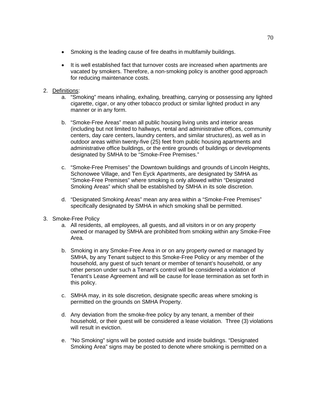- Smoking is the leading cause of fire deaths in multifamily buildings.
- It is well established fact that turnover costs are increased when apartments are vacated by smokers. Therefore, a non-smoking policy is another good approach for reducing maintenance costs.

## 2. Definitions:

- a. "Smoking" means inhaling, exhaling, breathing, carrying or possessing any lighted cigarette, cigar, or any other tobacco product or similar lighted product in any manner or in any form.
- b. "Smoke-Free Areas" mean all public housing living units and interior areas (including but not limited to hallways, rental and administrative offices, community centers, day care centers, laundry centers, and similar structures), as well as in outdoor areas within twenty-five (25) feet from public housing apartments and administrative office buildings, or the entire grounds of buildings or developments designated by SMHA to be "Smoke-Free Premises."
- c. "Smoke-Free Premises" the Downtown buildings and grounds of Lincoln Heights, Schonowee Village, and Ten Eyck Apartments, are designated by SMHA as "Smoke-Free Premises" where smoking is only allowed within "Designated Smoking Areas" which shall be established by SMHA in its sole discretion.
- d. "Designated Smoking Areas" mean any area within a "Smoke-Free Premises" specifically designated by SMHA in which smoking shall be permitted.
- 3. Smoke-Free Policy
	- a. All residents, all employees, all guests, and all visitors in or on any property owned or managed by SMHA are prohibited from smoking within any Smoke-Free Area.
	- b. Smoking in any Smoke-Free Area in or on any property owned or managed by SMHA, by any Tenant subject to this Smoke-Free Policy or any member of the household, any guest of such tenant or member of tenant's household, or any other person under such a Tenant's control will be considered a violation of Tenant's Lease Agreement and will be cause for lease termination as set forth in this policy.
	- c. SMHA may, in its sole discretion, designate specific areas where smoking is permitted on the grounds on SMHA Property.
	- d. Any deviation from the smoke-free policy by any tenant, a member of their household, or their guest will be considered a lease violation. Three (3) violations will result in eviction.
	- e. "No Smoking" signs will be posted outside and inside buildings. "Designated Smoking Area" signs may be posted to denote where smoking is permitted on a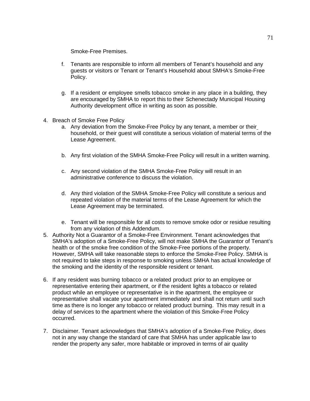Smoke-Free Premises.

- f. Tenants are responsible to inform all members of Tenant's household and any guests or visitors or Tenant or Tenant's Household about SMHA's Smoke-Free Policy.
- g. If a resident or employee smells tobacco smoke in any place in a building, they are encouraged by SMHA to report this to their Schenectady Municipal Housing Authority development office in writing as soon as possible.
- 4. Breach of Smoke Free Policy
	- a. Any deviation from the Smoke-Free Policy by any tenant, a member or their household, or their guest will constitute a serious violation of material terms of the Lease Agreement.
	- b. Any first violation of the SMHA Smoke-Free Policy will result in a written warning.
	- c. Any second violation of the SMHA Smoke-Free Policy will result in an administrative conference to discuss the violation.
	- d. Any third violation of the SMHA Smoke-Free Policy will constitute a serious and repeated violation of the material terms of the Lease Agreement for which the Lease Agreement may be terminated.
	- e. Tenant will be responsible for all costs to remove smoke odor or residue resulting from any violation of this Addendum.
- 5. Authority Not a Guarantor of a Smoke-Free Environment. Tenant acknowledges that SMHA's adoption of a Smoke-Free Policy, will not make SMHA the Guarantor of Tenant's health or of the smoke free condition of the Smoke-Free portions of the property. However, SMHA will take reasonable steps to enforce the Smoke-Free Policy. SMHA is not required to take steps in response to smoking unless SMHA has actual knowledge of the smoking and the identity of the responsible resident or tenant.
- 6. If any resident was burning tobacco or a related product prior to an employee or representative entering their apartment, or if the resident lights a tobacco or related product while an employee or representative is in the apartment, the employee or representative shall vacate your apartment immediately and shall not return until such time as there is no longer any tobacco or related product burning. This may result in a delay of services to the apartment where the violation of this Smoke-Free Policy occurred.
- 7. Disclaimer. Tenant acknowledges that SMHA's adoption of a Smoke-Free Policy, does not in any way change the standard of care that SMHA has under applicable law to render the property any safer, more habitable or improved in terms of air quality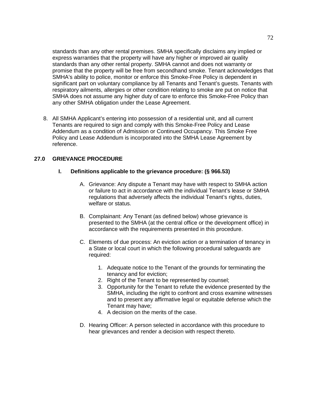standards than any other rental premises. SMHA specifically disclaims any implied or express warranties that the property will have any higher or improved air quality standards than any other rental property. SMHA cannot and does not warranty or promise that the property will be free from secondhand smoke. Tenant acknowledges that SMHA's ability to police, monitor or enforce this Smoke-Free Policy is dependent in significant part on voluntary compliance by all Tenants and Tenant's guests. Tenants with respiratory ailments, allergies or other condition relating to smoke are put on notice that SMHA does not assume any higher duty of care to enforce this Smoke-Free Policy than any other SMHA obligation under the Lease Agreement.

8. All SMHA Applicant's entering into possession of a residential unit, and all current Tenants are required to sign and comply with this Smoke-Free Policy and Lease Addendum as a condition of Admission or Continued Occupancy. This Smoke Free Policy and Lease Addendum is incorporated into the SMHA Lease Agreement by reference.

# **27.0 GRIEVANCE PROCEDURE**

#### **I. Definitions applicable to the grievance procedure: (§ 966.53)**

- A. Grievance: Any dispute a Tenant may have with respect to SMHA action or failure to act in accordance with the individual Tenant's lease or SMHA regulations that adversely affects the individual Tenant's rights, duties, welfare or status.
- B. Complainant: Any Tenant (as defined below) whose grievance is presented to the SMHA (at the central office or the development office) in accordance with the requirements presented in this procedure.
- C. Elements of due process: An eviction action or a termination of tenancy in a State or local court in which the following procedural safeguards are required:
	- 1. Adequate notice to the Tenant of the grounds for terminating the tenancy and for eviction;
	- 2. Right of the Tenant to be represented by counsel;
	- 3. Opportunity for the Tenant to refute the evidence presented by the SMHA, including the right to confront and cross examine witnesses and to present any affirmative legal or equitable defense which the Tenant may have;
	- 4. A decision on the merits of the case.
- D. Hearing Officer: A person selected in accordance with this procedure to hear grievances and render a decision with respect thereto.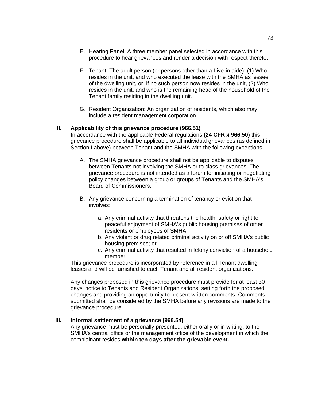- E. Hearing Panel: A three member panel selected in accordance with this procedure to hear grievances and render a decision with respect thereto.
- F. Tenant: The adult person (or persons other than a Live-in aide): (1) Who resides in the unit, and who executed the lease with the SMHA as lessee of the dwelling unit, or, if no such person now resides in the unit, (2) Who resides in the unit, and who is the remaining head of the household of the Tenant family residing in the dwelling unit.
- G. Resident Organization: An organization of residents, which also may include a resident management corporation.

### **II. Applicability of this grievance procedure (966.51)**

In accordance with the applicable Federal regulations **(24 CFR § 966.50)** this grievance procedure shall be applicable to all individual grievances (as defined in Section I above) between Tenant and the SMHA with the following exceptions:

- A. The SMHA grievance procedure shall not be applicable to disputes between Tenants not involving the SMHA or to class grievances. The grievance procedure is not intended as a forum for initiating or negotiating policy changes between a group or groups of Tenants and the SMHA's Board of Commissioners.
- B. Any grievance concerning a termination of tenancy or eviction that involves:
	- a. Any criminal activity that threatens the health, safety or right to peaceful enjoyment of SMHA's public housing premises of other residents or employees of SMHA;
	- b. Any violent or drug related criminal activity on or off SMHA's public housing premises; or
	- c. Any criminal activity that resulted in felony conviction of a household member.

This grievance procedure is incorporated by reference in all Tenant dwelling leases and will be furnished to each Tenant and all resident organizations.

Any changes proposed in this grievance procedure must provide for at least 30 days' notice to Tenants and Resident Organizations, setting forth the proposed changes and providing an opportunity to present written comments. Comments submitted shall be considered by the SMHA before any revisions are made to the grievance procedure.

### **III. Informal settlement of a grievance [966.54]**

Any grievance must be personally presented, either orally or in writing, to the SMHA's central office or the management office of the development in which the complainant resides **within ten days after the grievable event.**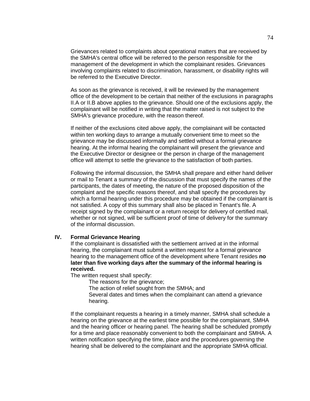Grievances related to complaints about operational matters that are received by the SMHA's central office will be referred to the person responsible for the management of the development in which the complainant resides. Grievances involving complaints related to discrimination, harassment, or disability rights will be referred to the Executive Director.

As soon as the grievance is received, it will be reviewed by the management office of the development to be certain that neither of the exclusions in paragraphs II.A or II.B above applies to the grievance. Should one of the exclusions apply, the complainant will be notified in writing that the matter raised is not subject to the SMHA's grievance procedure, with the reason thereof.

If neither of the exclusions cited above apply, the complainant will be contacted within ten working days to arrange a mutually convenient time to meet so the grievance may be discussed informally and settled without a formal grievance hearing. At the informal hearing the complainant will present the grievance and the Executive Director or designee or the person in charge of the management office will attempt to settle the grievance to the satisfaction of both parties.

Following the informal discussion, the SMHA shall prepare and either hand deliver or mail to Tenant a summary of the discussion that must specify the names of the participants, the dates of meeting, the nature of the proposed disposition of the complaint and the specific reasons thereof, and shall specify the procedures by which a formal hearing under this procedure may be obtained if the complainant is not satisfied. A copy of this summary shall also be placed in Tenant's file. A receipt signed by the complainant or a return receipt for delivery of certified mail, whether or not signed, will be sufficient proof of time of delivery for the summary of the informal discussion.

### **IV. Formal Grievance Hearing**

If the complainant is dissatisfied with the settlement arrived at in the informal hearing, the complainant must submit a written request for a formal grievance hearing to the management office of the development where Tenant resides **no later than five working days after the summary of the informal hearing is received.**

The written request shall specify:

The reasons for the grievance;

The action of relief sought from the SMHA; and

Several dates and times when the complainant can attend a grievance hearing.

If the complainant requests a hearing in a timely manner, SMHA shall schedule a hearing on the grievance at the earliest time possible for the complainant, SMHA and the hearing officer or hearing panel. The hearing shall be scheduled promptly for a time and place reasonably convenient to both the complainant and SMHA. A written notification specifying the time, place and the procedures governing the hearing shall be delivered to the complainant and the appropriate SMHA official.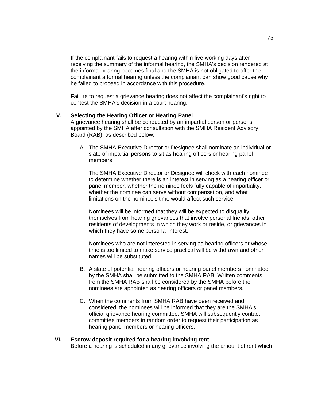If the complainant fails to request a hearing within five working days after receiving the summary of the informal hearing, the SMHA's decision rendered at the informal hearing becomes final and the SMHA is not obligated to offer the complainant a formal hearing unless the complainant can show good cause why he failed to proceed in accordance with this procedure.

Failure to request a grievance hearing does not affect the complainant's right to contest the SMHA's decision in a court hearing.

#### **V. Selecting the Hearing Officer or Hearing Panel**

A grievance hearing shall be conducted by an impartial person or persons appointed by the SMHA after consultation with the SMHA Resident Advisory Board (RAB), as described below:

A. The SMHA Executive Director or Designee shall nominate an individual or slate of impartial persons to sit as hearing officers or hearing panel members.

The SMHA Executive Director or Designee will check with each nominee to determine whether there is an interest in serving as a hearing officer or panel member, whether the nominee feels fully capable of impartiality, whether the nominee can serve without compensation, and what limitations on the nominee's time would affect such service.

Nominees will be informed that they will be expected to disqualify themselves from hearing grievances that involve personal friends, other residents of developments in which they work or reside, or grievances in which they have some personal interest.

Nominees who are not interested in serving as hearing officers or whose time is too limited to make service practical will be withdrawn and other names will be substituted.

- B. A slate of potential hearing officers or hearing panel members nominated by the SMHA shall be submitted to the SMHA RAB. Written comments from the SMHA RAB shall be considered by the SMHA before the nominees are appointed as hearing officers or panel members.
- C. When the comments from SMHA RAB have been received and considered, the nominees will be informed that they are the SMHA's official grievance hearing committee. SMHA will subsequently contact committee members in random order to request their participation as hearing panel members or hearing officers.

#### **VI. Escrow deposit required for a hearing involving rent**

Before a hearing is scheduled in any grievance involving the amount of rent which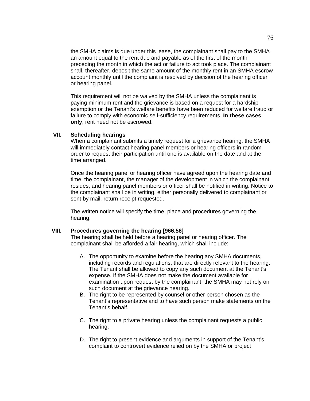the SMHA claims is due under this lease, the complainant shall pay to the SMHA an amount equal to the rent due and payable as of the first of the month preceding the month in which the act or failure to act took place. The complainant shall, thereafter, deposit the same amount of the monthly rent in an SMHA escrow account monthly until the complaint is resolved by decision of the hearing officer or hearing panel.

This requirement will not be waived by the SMHA unless the complainant is paying minimum rent and the grievance is based on a request for a hardship exemption or the Tenant's welfare benefits have been reduced for welfare fraud or failure to comply with economic self-sufficiency requirements. **In these cases only**, rent need not be escrowed.

### **VII. Scheduling hearings**

When a complainant submits a timely request for a grievance hearing, the SMHA will immediately contact hearing panel members or hearing officers in random order to request their participation until one is available on the date and at the time arranged.

Once the hearing panel or hearing officer have agreed upon the hearing date and time, the complainant, the manager of the development in which the complainant resides, and hearing panel members or officer shall be notified in writing. Notice to the complainant shall be in writing, either personally delivered to complainant or sent by mail, return receipt requested.

The written notice will specify the time, place and procedures governing the hearing.

#### **VIII. Procedures governing the hearing [966.56]**

The hearing shall be held before a hearing panel or hearing officer. The complainant shall be afforded a fair hearing, which shall include:

- A. The opportunity to examine before the hearing any SMHA documents, including records and regulations, that are directly relevant to the hearing. The Tenant shall be allowed to copy any such document at the Tenant's expense. If the SMHA does not make the document available for examination upon request by the complainant, the SMHA may not rely on such document at the grievance hearing.
- B. The right to be represented by counsel or other person chosen as the Tenant's representative and to have such person make statements on the Tenant's behalf.
- C. The right to a private hearing unless the complainant requests a public hearing.
- D. The right to present evidence and arguments in support of the Tenant's complaint to controvert evidence relied on by the SMHA or project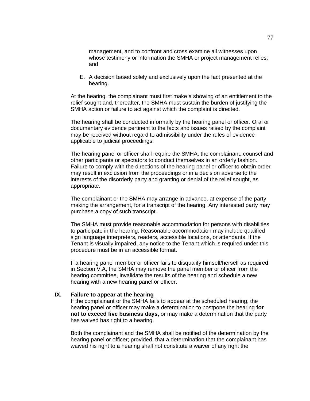management, and to confront and cross examine all witnesses upon whose testimony or information the SMHA or project management relies; and

E. A decision based solely and exclusively upon the fact presented at the hearing.

At the hearing, the complainant must first make a showing of an entitlement to the relief sought and, thereafter, the SMHA must sustain the burden of justifying the SMHA action or failure to act against which the complaint is directed.

The hearing shall be conducted informally by the hearing panel or officer. Oral or documentary evidence pertinent to the facts and issues raised by the complaint may be received without regard to admissibility under the rules of evidence applicable to judicial proceedings.

The hearing panel or officer shall require the SMHA, the complainant, counsel and other participants or spectators to conduct themselves in an orderly fashion. Failure to comply with the directions of the hearing panel or officer to obtain order may result in exclusion from the proceedings or in a decision adverse to the interests of the disorderly party and granting or denial of the relief sought, as appropriate.

The complainant or the SMHA may arrange in advance, at expense of the party making the arrangement, for a transcript of the hearing. Any interested party may purchase a copy of such transcript.

The SMHA must provide reasonable accommodation for persons with disabilities to participate in the hearing. Reasonable accommodation may include qualified sign language interpreters, readers, accessible locations, or attendants. If the Tenant is visually impaired, any notice to the Tenant which is required under this procedure must be in an accessible format.

If a hearing panel member or officer fails to disqualify himself/herself as required in Section V.A, the SMHA may remove the panel member or officer from the hearing committee, invalidate the results of the hearing and schedule a new hearing with a new hearing panel or officer.

#### **IX. Failure to appear at the hearing**

If the complainant or the SMHA fails to appear at the scheduled hearing, the hearing panel or officer may make a determination to postpone the hearing **for not to exceed five business days,** or may make a determination that the party has waived has right to a hearing.

Both the complainant and the SMHA shall be notified of the determination by the hearing panel or officer; provided, that a determination that the complainant has waived his right to a hearing shall not constitute a waiver of any right the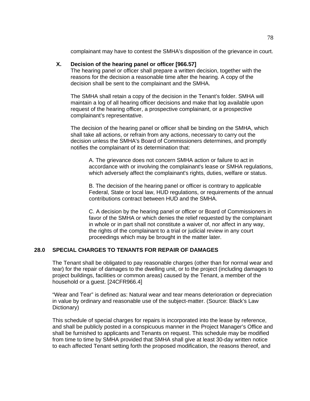complainant may have to contest the SMHA's disposition of the grievance in court.

# **X. Decision of the hearing panel or officer [966.57]**

The hearing panel or officer shall prepare a written decision, together with the reasons for the decision a reasonable time after the hearing. A copy of the decision shall be sent to the complainant and the SMHA.

The SMHA shall retain a copy of the decision in the Tenant's folder. SMHA will maintain a log of all hearing officer decisions and make that log available upon request of the hearing officer, a prospective complainant, or a prospective complainant's representative.

The decision of the hearing panel or officer shall be binding on the SMHA, which shall take all actions, or refrain from any actions, necessary to carry out the decision unless the SMHA's Board of Commissioners determines, and promptly notifies the complainant of its determination that:

A. The grievance does not concern SMHA action or failure to act in accordance with or involving the complainant's lease or SMHA regulations, which adversely affect the complainant's rights, duties, welfare or status.

B. The decision of the hearing panel or officer is contrary to applicable Federal, State or local law, HUD regulations, or requirements of the annual contributions contract between HUD and the SMHA.

C. A decision by the hearing panel or officer or Board of Commissioners in favor of the SMHA or which denies the relief requested by the complainant in whole or in part shall not constitute a waiver of, nor affect in any way, the rights of the complainant to a trial or judicial review in any court proceedings which may be brought in the matter later.

## **28.0 SPECIAL CHARGES TO TENANTS FOR REPAIR OF DAMAGES**

The Tenant shall be obligated to pay reasonable charges (other than for normal wear and tear) for the repair of damages to the dwelling unit, or to the project (including damages to project buildings, facilities or common areas) caused by the Tenant, a member of the household or a guest. [24CFR966.4]

"Wear and Tear" is defined as: Natural wear and tear means deterioration or depreciation in value by ordinary and reasonable use of the subject-matter. (Source: Black's Law Dictionary)

This schedule of special charges for repairs is incorporated into the lease by reference, and shall be publicly posted in a conspicuous manner in the Project Manager's Office and shall be furnished to applicants and Tenants on request. This schedule may be modified from time to time by SMHA provided that SMHA shall give at least 30-day written notice to each affected Tenant setting forth the proposed modification, the reasons thereof, and